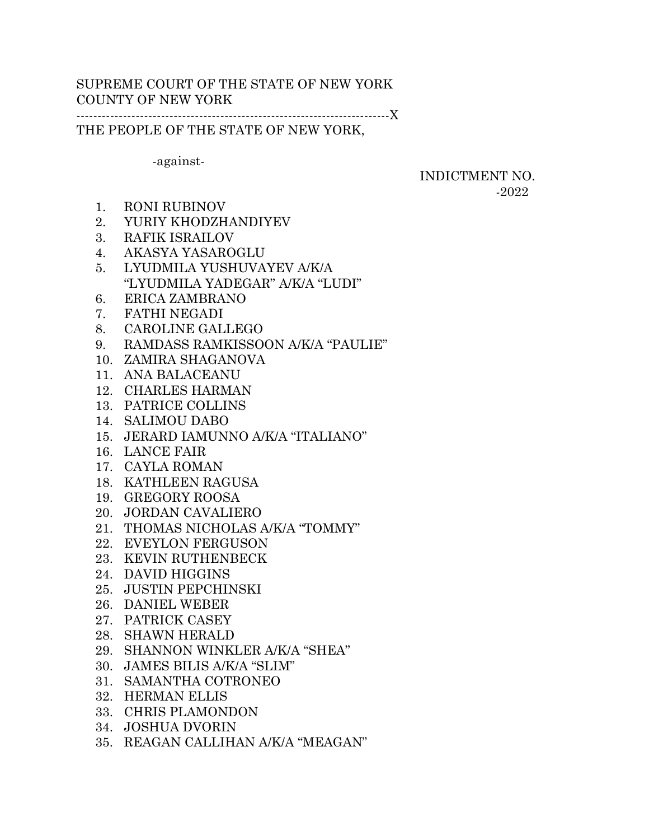# SUPREME COURT OF THE STATE OF NEW YORK COUNTY OF NEW YORK

--------------------------------------------------------------------------X

THE PEOPLE OF THE STATE OF NEW YORK,

-against-

INDICTMENT NO. -2022

- 1. RONI RUBINOV
- 2. YURIY KHODZHANDIYEV
- 3. RAFIK ISRAILOV
- 4. AKASYA YASAROGLU
- 5. LYUDMILA YUSHUVAYEV A/K/A "LYUDMILA YADEGAR" A/K/A "LUDI"
- 6. ERICA ZAMBRANO
- 7. FATHI NEGADI
- 8. CAROLINE GALLEGO
- 9. RAMDASS RAMKISSOON A/K/A "PAULIE"
- 10. ZAMIRA SHAGANOVA
- 11. ANA BALACEANU
- 12. CHARLES HARMAN
- 13. PATRICE COLLINS
- 14. SALIMOU DABO
- 15. JERARD IAMUNNO A/K/A "ITALIANO"
- 16. LANCE FAIR
- 17. CAYLA ROMAN
- 18. KATHLEEN RAGUSA
- 19. GREGORY ROOSA
- 20. JORDAN CAVALIERO
- 21. THOMAS NICHOLAS A/K/A "TOMMY"
- 22. EVEYLON FERGUSON
- 23. KEVIN RUTHENBECK
- 24. DAVID HIGGINS
- 25. JUSTIN PEPCHINSKI
- 26. DANIEL WEBER
- 27. PATRICK CASEY
- 28. SHAWN HERALD
- 29. SHANNON WINKLER A/K/A "SHEA"
- 30. JAMES BILIS A/K/A "SLIM"
- 31. SAMANTHA COTRONEO
- 32. HERMAN ELLIS
- 33. CHRIS PLAMONDON
- 34. JOSHUA DVORIN
- 35. REAGAN CALLIHAN A/K/A "MEAGAN"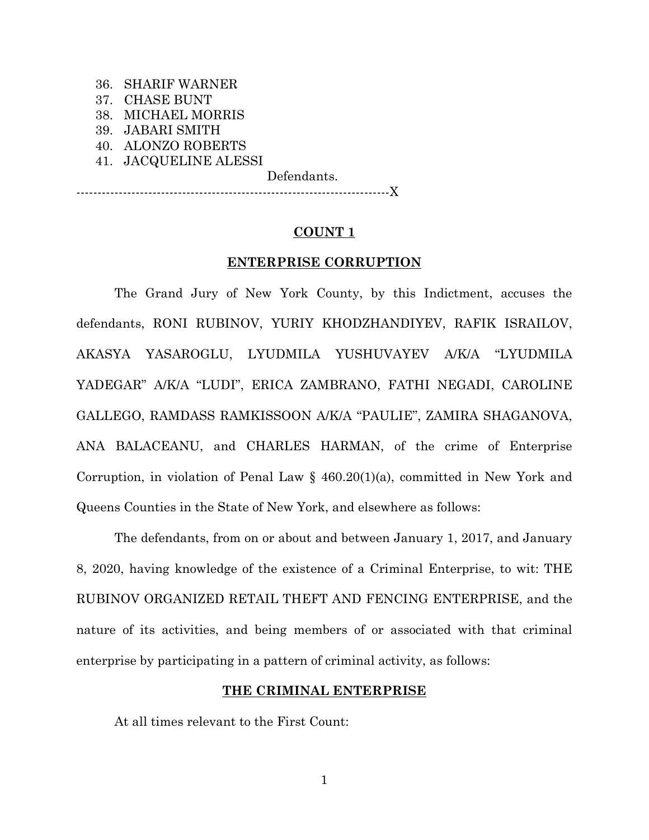|  | 36. SHARIF WARNER     |  |  |
|--|-----------------------|--|--|
|  | 37. CHASE BUNT        |  |  |
|  | 38. MICHAEL MORRIS    |  |  |
|  | 39. JABARI SMITH      |  |  |
|  | 40. ALONZO ROBERTS    |  |  |
|  | 41. JACQUELINE ALESSI |  |  |
|  |                       |  |  |

Defendants.

--------------------------------------------------------------------------X

## **COUNT 1**

### **ENTERPRISE CORRUPTION**

The Grand Jury of New York County, by this Indictment, accuses the defendants, RONI RUBINOV, YURIY KHODZHANDIYEV, RAFIK ISRAILOV, AKASYA YASAROGLU, LYUDMILA YUSHUVAYEV A/K/A "LYUDMILA YADEGAR" A/K/A "LUDI", ERICA ZAMBRANO, FATHI NEGADI, CAROLINE GALLEGO, RAMDASS RAMKISSOON A/K/A "PAULIE", ZAMIRA SHAGANOVA, ANA BALACEANU, and CHARLES HARMAN, of the crime of Enterprise Corruption, in violation of Penal Law § 460.20(1)(a), committed in New York and Queens Counties in the State of New York, and elsewhere as follows:

The defendants, from on or about and between January 1, 2017, and January 8, 2020, having knowledge of the existence of a Criminal Enterprise, to wit: THE RUBINOV ORGANIZED RETAIL THEFT AND FENCING ENTERPRISE, and the nature of its activities, and being members of or associated with that criminal enterprise by participating in a pattern of criminal activity, as follows:

## **THE CRIMINAL ENTERPRISE**

At all times relevant to the First Count: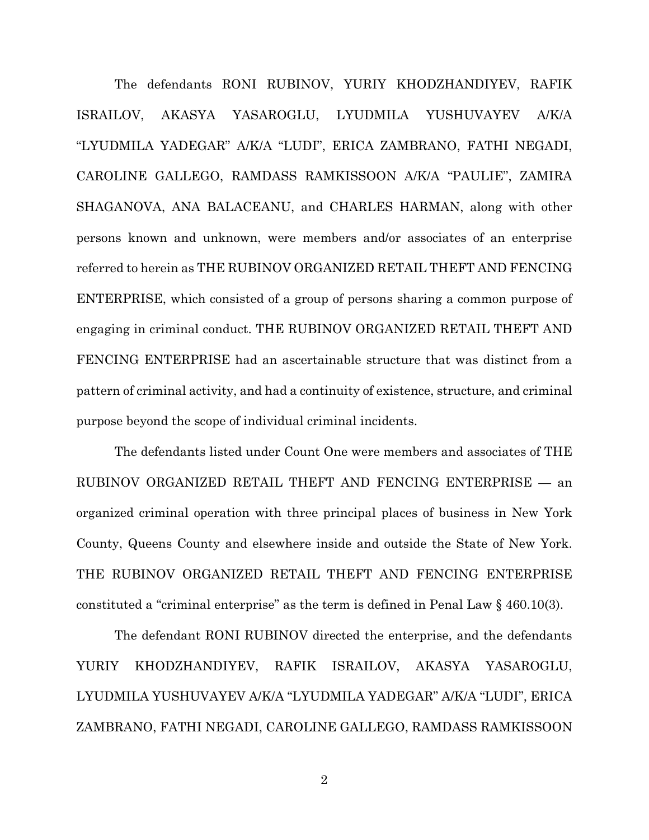The defendants RONI RUBINOV, YURIY KHODZHANDIYEV, RAFIK ISRAILOV, AKASYA YASAROGLU, LYUDMILA YUSHUVAYEV A/K/A "LYUDMILA YADEGAR" A/K/A "LUDI", ERICA ZAMBRANO, FATHI NEGADI, CAROLINE GALLEGO, RAMDASS RAMKISSOON A/K/A "PAULIE", ZAMIRA SHAGANOVA, ANA BALACEANU, and CHARLES HARMAN, along with other persons known and unknown, were members and/or associates of an enterprise referred to herein as THE RUBINOV ORGANIZED RETAIL THEFT AND FENCING ENTERPRISE, which consisted of a group of persons sharing a common purpose of engaging in criminal conduct. THE RUBINOV ORGANIZED RETAIL THEFT AND FENCING ENTERPRISE had an ascertainable structure that was distinct from a pattern of criminal activity, and had a continuity of existence, structure, and criminal purpose beyond the scope of individual criminal incidents.

The defendants listed under Count One were members and associates of THE RUBINOV ORGANIZED RETAIL THEFT AND FENCING ENTERPRISE — an organized criminal operation with three principal places of business in New York County, Queens County and elsewhere inside and outside the State of New York. THE RUBINOV ORGANIZED RETAIL THEFT AND FENCING ENTERPRISE constituted a "criminal enterprise" as the term is defined in Penal Law § 460.10(3).

The defendant RONI RUBINOV directed the enterprise, and the defendants YURIY KHODZHANDIYEV, RAFIK ISRAILOV, AKASYA YASAROGLU, LYUDMILA YUSHUVAYEV A/K/A "LYUDMILA YADEGAR" A/K/A "LUDI", ERICA ZAMBRANO, FATHI NEGADI, CAROLINE GALLEGO, RAMDASS RAMKISSOON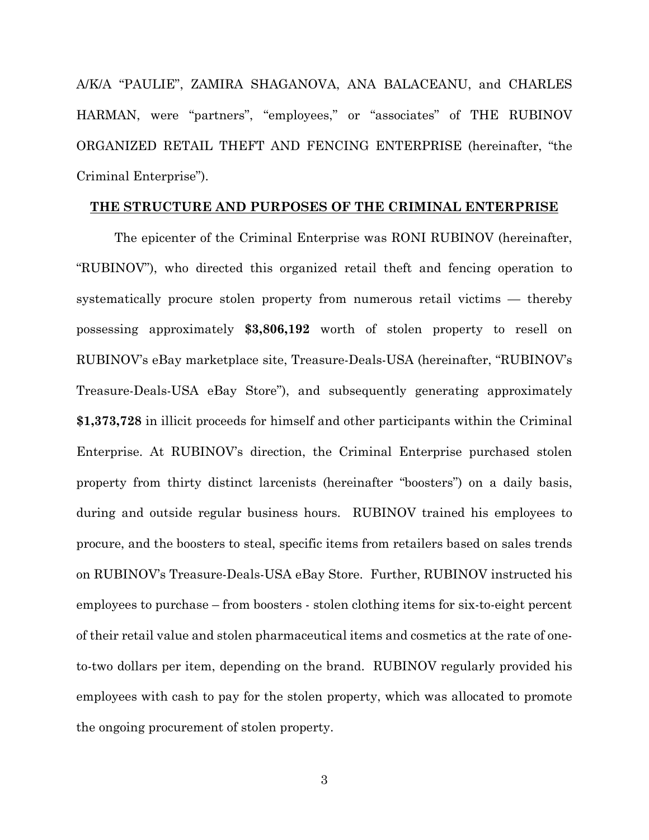A/K/A "PAULIE", ZAMIRA SHAGANOVA, ANA BALACEANU, and CHARLES HARMAN, were "partners", "employees," or "associates" of THE RUBINOV ORGANIZED RETAIL THEFT AND FENCING ENTERPRISE (hereinafter, "the Criminal Enterprise").

### **THE STRUCTURE AND PURPOSES OF THE CRIMINAL ENTERPRISE**

The epicenter of the Criminal Enterprise was RONI RUBINOV (hereinafter, "RUBINOV"), who directed this organized retail theft and fencing operation to systematically procure stolen property from numerous retail victims — thereby possessing approximately **\$3,806,192** worth of stolen property to resell on RUBINOV's eBay marketplace site, Treasure-Deals-USA (hereinafter, "RUBINOV's Treasure-Deals-USA eBay Store"), and subsequently generating approximately **\$1,373,728** in illicit proceeds for himself and other participants within the Criminal Enterprise. At RUBINOV's direction, the Criminal Enterprise purchased stolen property from thirty distinct larcenists (hereinafter "boosters") on a daily basis, during and outside regular business hours. RUBINOV trained his employees to procure, and the boosters to steal, specific items from retailers based on sales trends on RUBINOV's Treasure-Deals-USA eBay Store. Further, RUBINOV instructed his employees to purchase – from boosters - stolen clothing items for six-to-eight percent of their retail value and stolen pharmaceutical items and cosmetics at the rate of oneto-two dollars per item, depending on the brand. RUBINOV regularly provided his employees with cash to pay for the stolen property, which was allocated to promote the ongoing procurement of stolen property.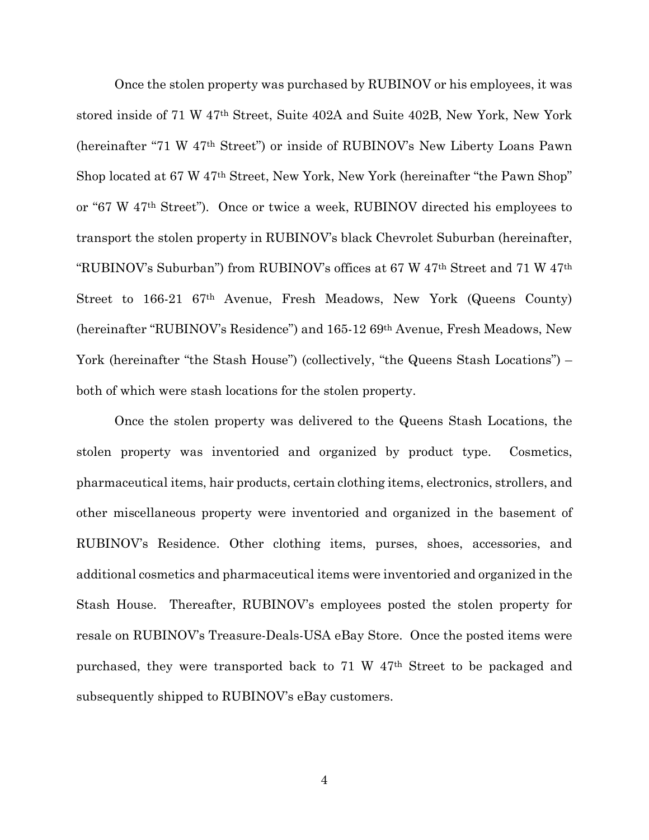Once the stolen property was purchased by RUBINOV or his employees, it was stored inside of 71 W 47th Street, Suite 402A and Suite 402B, New York, New York (hereinafter "71 W 47th Street") or inside of RUBINOV's New Liberty Loans Pawn Shop located at 67 W 47th Street, New York, New York (hereinafter "the Pawn Shop" or "67 W 47th Street"). Once or twice a week, RUBINOV directed his employees to transport the stolen property in RUBINOV's black Chevrolet Suburban (hereinafter, "RUBINOV's Suburban") from RUBINOV's offices at 67 W 47th Street and 71 W 47th Street to 166-21 67th Avenue, Fresh Meadows, New York (Queens County) (hereinafter "RUBINOV's Residence") and 165-12 69th Avenue, Fresh Meadows, New York (hereinafter "the Stash House") (collectively, "the Queens Stash Locations") – both of which were stash locations for the stolen property.

Once the stolen property was delivered to the Queens Stash Locations, the stolen property was inventoried and organized by product type. Cosmetics, pharmaceutical items, hair products, certain clothing items, electronics, strollers, and other miscellaneous property were inventoried and organized in the basement of RUBINOV's Residence. Other clothing items, purses, shoes, accessories, and additional cosmetics and pharmaceutical items were inventoried and organized in the Stash House. Thereafter, RUBINOV's employees posted the stolen property for resale on RUBINOV's Treasure-Deals-USA eBay Store. Once the posted items were purchased, they were transported back to 71 W 47th Street to be packaged and subsequently shipped to RUBINOV's eBay customers.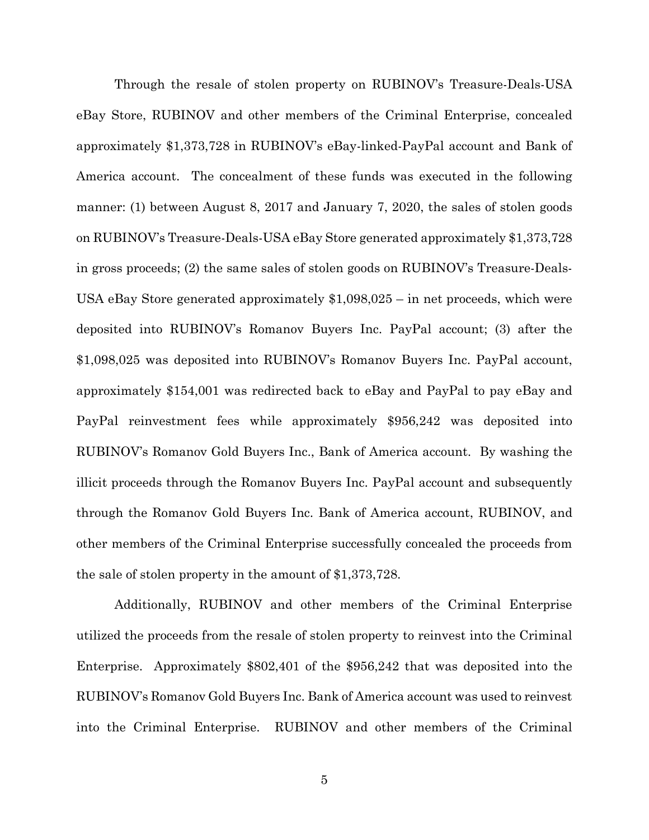Through the resale of stolen property on RUBINOV's Treasure-Deals-USA eBay Store, RUBINOV and other members of the Criminal Enterprise, concealed approximately \$1,373,728 in RUBINOV's eBay-linked-PayPal account and Bank of America account. The concealment of these funds was executed in the following manner: (1) between August 8, 2017 and January 7, 2020, the sales of stolen goods on RUBINOV's Treasure-Deals-USA eBay Store generated approximately \$1,373,728 in gross proceeds; (2) the same sales of stolen goods on RUBINOV's Treasure-Deals-USA eBay Store generated approximately \$1,098,025 – in net proceeds, which were deposited into RUBINOV's Romanov Buyers Inc. PayPal account; (3) after the \$1,098,025 was deposited into RUBINOV's Romanov Buyers Inc. PayPal account, approximately \$154,001 was redirected back to eBay and PayPal to pay eBay and PayPal reinvestment fees while approximately \$956,242 was deposited into RUBINOV's Romanov Gold Buyers Inc., Bank of America account. By washing the illicit proceeds through the Romanov Buyers Inc. PayPal account and subsequently through the Romanov Gold Buyers Inc. Bank of America account, RUBINOV, and other members of the Criminal Enterprise successfully concealed the proceeds from the sale of stolen property in the amount of \$1,373,728.

Additionally, RUBINOV and other members of the Criminal Enterprise utilized the proceeds from the resale of stolen property to reinvest into the Criminal Enterprise. Approximately \$802,401 of the \$956,242 that was deposited into the RUBINOV's Romanov Gold Buyers Inc. Bank of America account was used to reinvest into the Criminal Enterprise. RUBINOV and other members of the Criminal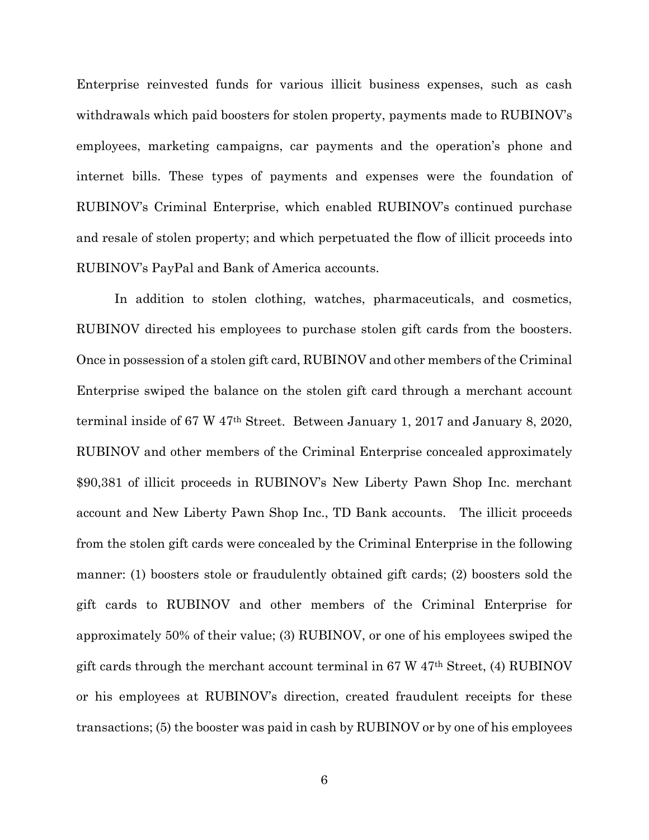Enterprise reinvested funds for various illicit business expenses, such as cash withdrawals which paid boosters for stolen property, payments made to RUBINOV's employees, marketing campaigns, car payments and the operation's phone and internet bills. These types of payments and expenses were the foundation of RUBINOV's Criminal Enterprise, which enabled RUBINOV's continued purchase and resale of stolen property; and which perpetuated the flow of illicit proceeds into RUBINOV's PayPal and Bank of America accounts.

In addition to stolen clothing, watches, pharmaceuticals, and cosmetics, RUBINOV directed his employees to purchase stolen gift cards from the boosters. Once in possession of a stolen gift card, RUBINOV and other members of the Criminal Enterprise swiped the balance on the stolen gift card through a merchant account terminal inside of 67 W 47th Street. Between January 1, 2017 and January 8, 2020, RUBINOV and other members of the Criminal Enterprise concealed approximately \$90,381 of illicit proceeds in RUBINOV's New Liberty Pawn Shop Inc. merchant account and New Liberty Pawn Shop Inc., TD Bank accounts. The illicit proceeds from the stolen gift cards were concealed by the Criminal Enterprise in the following manner: (1) boosters stole or fraudulently obtained gift cards; (2) boosters sold the gift cards to RUBINOV and other members of the Criminal Enterprise for approximately 50% of their value; (3) RUBINOV, or one of his employees swiped the gift cards through the merchant account terminal in 67 W  $47<sup>th</sup>$  Street, (4) RUBINOV or his employees at RUBINOV's direction, created fraudulent receipts for these transactions; (5) the booster was paid in cash by RUBINOV or by one of his employees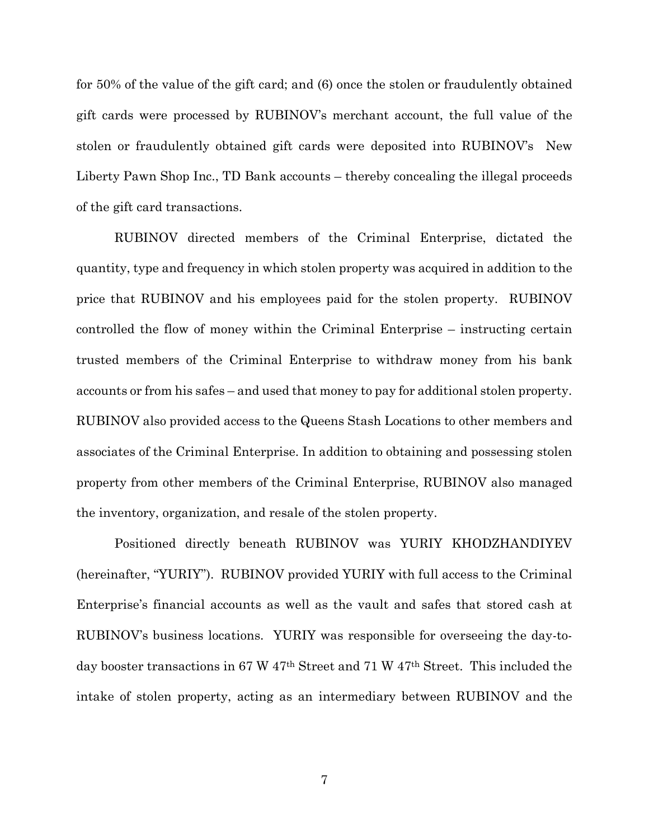for 50% of the value of the gift card; and (6) once the stolen or fraudulently obtained gift cards were processed by RUBINOV's merchant account, the full value of the stolen or fraudulently obtained gift cards were deposited into RUBINOV's New Liberty Pawn Shop Inc., TD Bank accounts – thereby concealing the illegal proceeds of the gift card transactions.

RUBINOV directed members of the Criminal Enterprise, dictated the quantity, type and frequency in which stolen property was acquired in addition to the price that RUBINOV and his employees paid for the stolen property. RUBINOV controlled the flow of money within the Criminal Enterprise – instructing certain trusted members of the Criminal Enterprise to withdraw money from his bank accounts or from his safes – and used that money to pay for additional stolen property. RUBINOV also provided access to the Queens Stash Locations to other members and associates of the Criminal Enterprise. In addition to obtaining and possessing stolen property from other members of the Criminal Enterprise, RUBINOV also managed the inventory, organization, and resale of the stolen property.

Positioned directly beneath RUBINOV was YURIY KHODZHANDIYEV (hereinafter, "YURIY"). RUBINOV provided YURIY with full access to the Criminal Enterprise's financial accounts as well as the vault and safes that stored cash at RUBINOV's business locations. YURIY was responsible for overseeing the day-today booster transactions in 67 W 47th Street and 71 W 47th Street. This included the intake of stolen property, acting as an intermediary between RUBINOV and the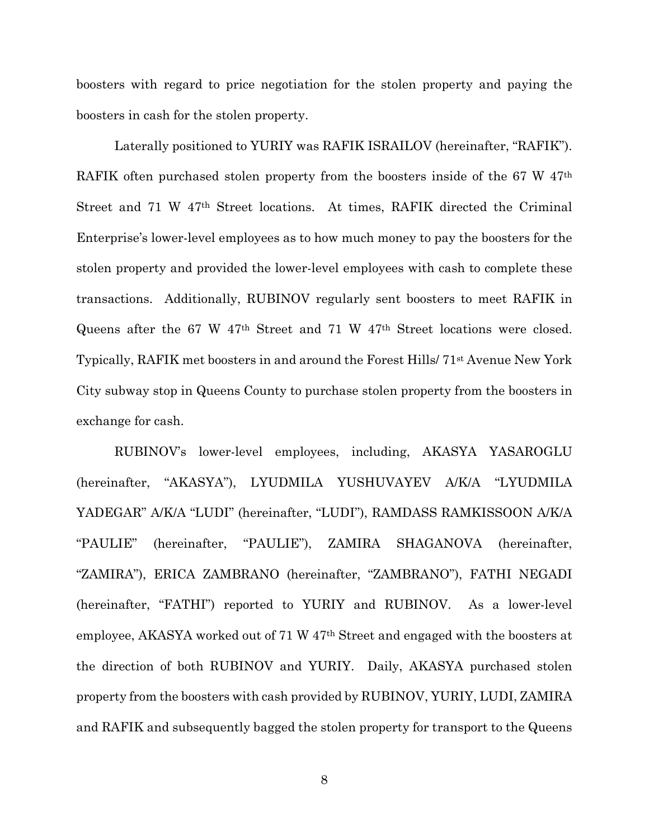boosters with regard to price negotiation for the stolen property and paying the boosters in cash for the stolen property.

Laterally positioned to YURIY was RAFIK ISRAILOV (hereinafter, "RAFIK"). RAFIK often purchased stolen property from the boosters inside of the 67 W 47<sup>th</sup> Street and 71 W 47th Street locations. At times, RAFIK directed the Criminal Enterprise's lower-level employees as to how much money to pay the boosters for the stolen property and provided the lower-level employees with cash to complete these transactions. Additionally, RUBINOV regularly sent boosters to meet RAFIK in Queens after the 67 W 47th Street and 71 W 47th Street locations were closed. Typically, RAFIK met boosters in and around the Forest Hills/ 71st Avenue New York City subway stop in Queens County to purchase stolen property from the boosters in exchange for cash.

RUBINOV's lower-level employees, including, AKASYA YASAROGLU (hereinafter, "AKASYA"), LYUDMILA YUSHUVAYEV A/K/A "LYUDMILA YADEGAR" A/K/A "LUDI" (hereinafter, "LUDI"), RAMDASS RAMKISSOON A/K/A "PAULIE" (hereinafter, "PAULIE"), ZAMIRA SHAGANOVA (hereinafter, "ZAMIRA"), ERICA ZAMBRANO (hereinafter, "ZAMBRANO"), FATHI NEGADI (hereinafter, "FATHI") reported to YURIY and RUBINOV. As a lower-level employee, AKASYA worked out of 71 W 47th Street and engaged with the boosters at the direction of both RUBINOV and YURIY. Daily, AKASYA purchased stolen property from the boosters with cash provided by RUBINOV, YURIY, LUDI, ZAMIRA and RAFIK and subsequently bagged the stolen property for transport to the Queens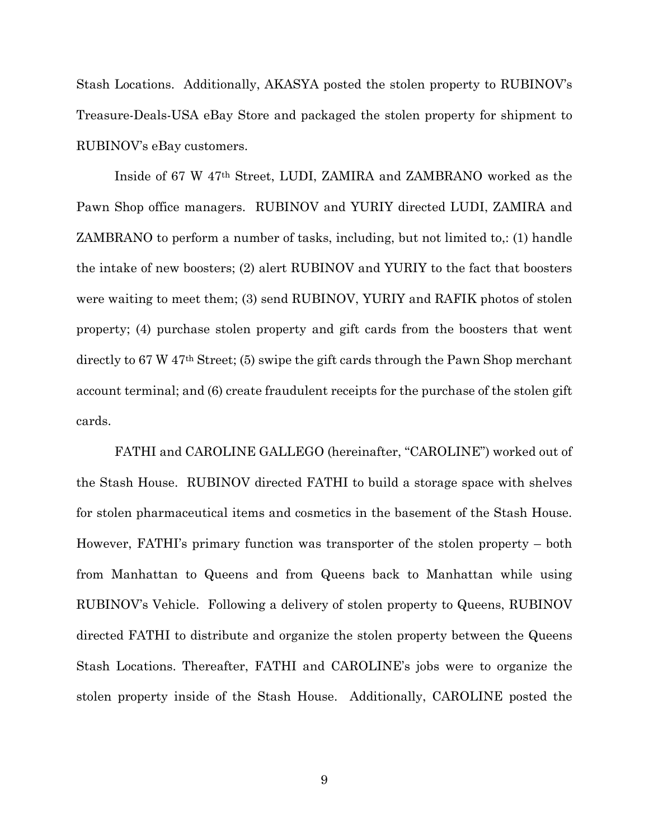Stash Locations. Additionally, AKASYA posted the stolen property to RUBINOV's Treasure-Deals-USA eBay Store and packaged the stolen property for shipment to RUBINOV's eBay customers.

Inside of 67 W 47th Street, LUDI, ZAMIRA and ZAMBRANO worked as the Pawn Shop office managers. RUBINOV and YURIY directed LUDI, ZAMIRA and ZAMBRANO to perform a number of tasks, including, but not limited to,: (1) handle the intake of new boosters; (2) alert RUBINOV and YURIY to the fact that boosters were waiting to meet them; (3) send RUBINOV, YURIY and RAFIK photos of stolen property; (4) purchase stolen property and gift cards from the boosters that went directly to 67 W 47th Street; (5) swipe the gift cards through the Pawn Shop merchant account terminal; and (6) create fraudulent receipts for the purchase of the stolen gift cards.

FATHI and CAROLINE GALLEGO (hereinafter, "CAROLINE") worked out of the Stash House. RUBINOV directed FATHI to build a storage space with shelves for stolen pharmaceutical items and cosmetics in the basement of the Stash House. However, FATHI's primary function was transporter of the stolen property – both from Manhattan to Queens and from Queens back to Manhattan while using RUBINOV's Vehicle. Following a delivery of stolen property to Queens, RUBINOV directed FATHI to distribute and organize the stolen property between the Queens Stash Locations. Thereafter, FATHI and CAROLINE's jobs were to organize the stolen property inside of the Stash House. Additionally, CAROLINE posted the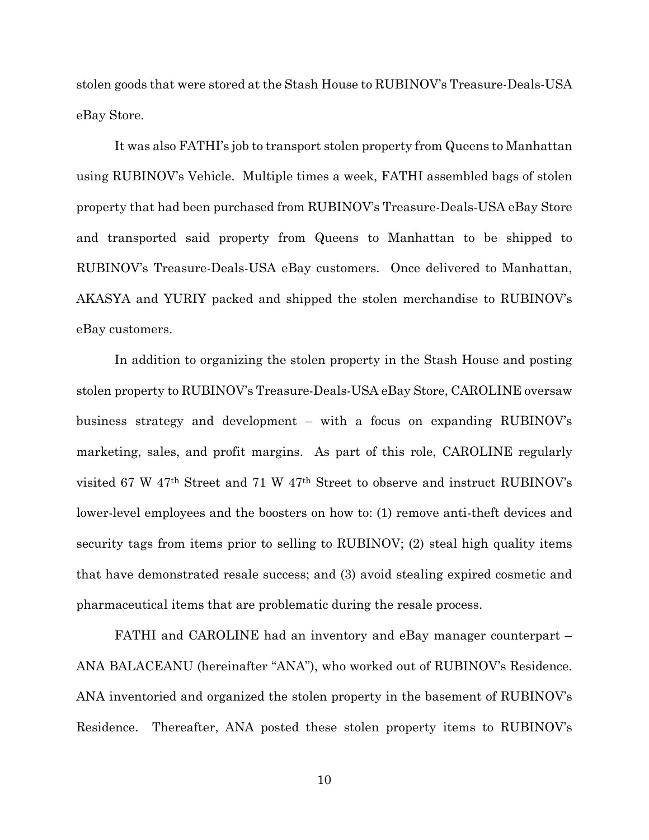stolen goods that were stored at the Stash House to RUBINOV's Treasure-Deals-USA eBay Store.

It was also FATHI's job to transport stolen property from Queens to Manhattan using RUBINOV's Vehicle. Multiple times a week, FATHI assembled bags of stolen property that had been purchased from RUBINOV's Treasure-Deals-USA eBay Store and transported said property from Queens to Manhattan to be shipped to RUBINOV's Treasure-Deals-USA eBay customers. Once delivered to Manhattan, AKASYA and YURIY packed and shipped the stolen merchandise to RUBINOV's eBay customers.

In addition to organizing the stolen property in the Stash House and posting stolen property to RUBINOV's Treasure-Deals-USA eBay Store, CAROLINE oversaw business strategy and development – with a focus on expanding RUBINOV's marketing, sales, and profit margins. As part of this role, CAROLINE regularly visited 67 W 47th Street and 71 W 47th Street to observe and instruct RUBINOV's lower-level employees and the boosters on how to: (1) remove anti-theft devices and security tags from items prior to selling to RUBINOV; (2) steal high quality items that have demonstrated resale success; and (3) avoid stealing expired cosmetic and pharmaceutical items that are problematic during the resale process.

FATHI and CAROLINE had an inventory and eBay manager counterpart – ANA BALACEANU (hereinafter "ANA"), who worked out of RUBINOV's Residence. ANA inventoried and organized the stolen property in the basement of RUBINOV's Residence. Thereafter, ANA posted these stolen property items to RUBINOV's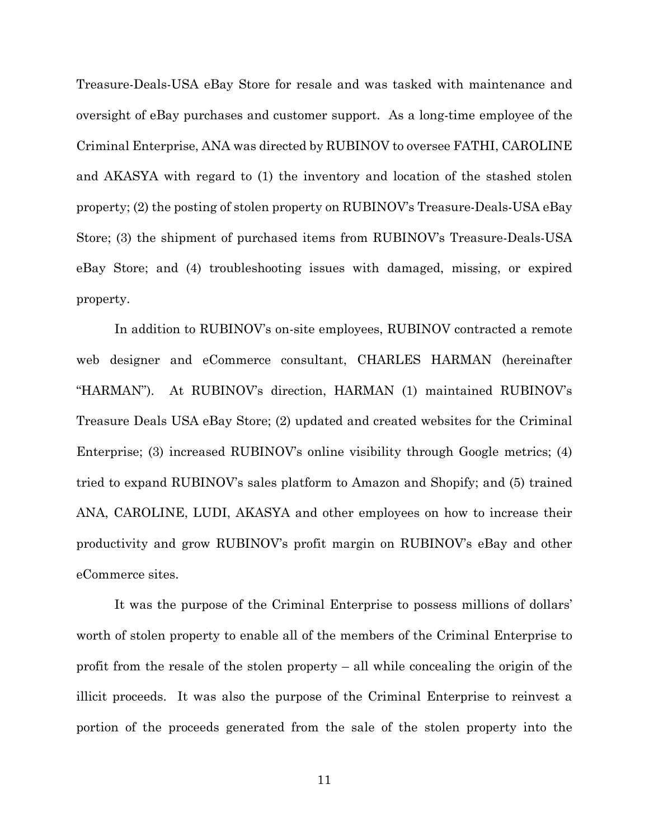Treasure-Deals-USA eBay Store for resale and was tasked with maintenance and oversight of eBay purchases and customer support. As a long-time employee of the Criminal Enterprise, ANA was directed by RUBINOV to oversee FATHI, CAROLINE and AKASYA with regard to (1) the inventory and location of the stashed stolen property; (2) the posting of stolen property on RUBINOV's Treasure-Deals-USA eBay Store; (3) the shipment of purchased items from RUBINOV's Treasure-Deals-USA eBay Store; and (4) troubleshooting issues with damaged, missing, or expired property.

In addition to RUBINOV's on-site employees, RUBINOV contracted a remote web designer and eCommerce consultant, CHARLES HARMAN (hereinafter "HARMAN"). At RUBINOV's direction, HARMAN (1) maintained RUBINOV's Treasure Deals USA eBay Store; (2) updated and created websites for the Criminal Enterprise; (3) increased RUBINOV's online visibility through Google metrics; (4) tried to expand RUBINOV's sales platform to Amazon and Shopify; and (5) trained ANA, CAROLINE, LUDI, AKASYA and other employees on how to increase their productivity and grow RUBINOV's profit margin on RUBINOV's eBay and other eCommerce sites.

It was the purpose of the Criminal Enterprise to possess millions of dollars' worth of stolen property to enable all of the members of the Criminal Enterprise to profit from the resale of the stolen property – all while concealing the origin of the illicit proceeds. It was also the purpose of the Criminal Enterprise to reinvest a portion of the proceeds generated from the sale of the stolen property into the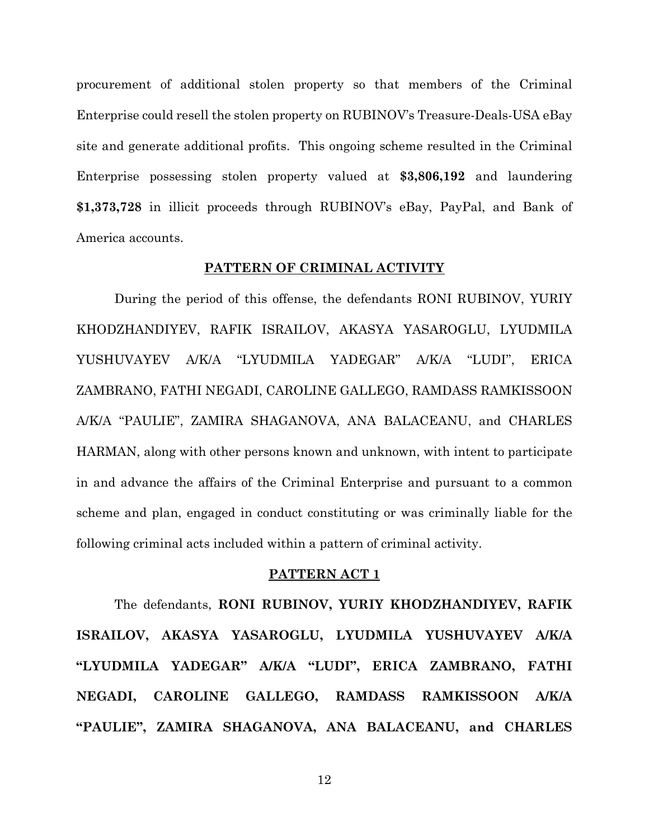procurement of additional stolen property so that members of the Criminal Enterprise could resell the stolen property on RUBINOV's Treasure-Deals-USA eBay site and generate additional profits. This ongoing scheme resulted in the Criminal Enterprise possessing stolen property valued at **\$3,806,192** and laundering **\$1,373,728** in illicit proceeds through RUBINOV's eBay, PayPal, and Bank of America accounts.

## **PATTERN OF CRIMINAL ACTIVITY**

During the period of this offense, the defendants RONI RUBINOV, YURIY KHODZHANDIYEV, RAFIK ISRAILOV, AKASYA YASAROGLU, LYUDMILA YUSHUVAYEV A/K/A "LYUDMILA YADEGAR" A/K/A "LUDI", ERICA ZAMBRANO, FATHI NEGADI, CAROLINE GALLEGO, RAMDASS RAMKISSOON A/K/A "PAULIE", ZAMIRA SHAGANOVA, ANA BALACEANU, and CHARLES HARMAN, along with other persons known and unknown, with intent to participate in and advance the affairs of the Criminal Enterprise and pursuant to a common scheme and plan, engaged in conduct constituting or was criminally liable for the following criminal acts included within a pattern of criminal activity.

## **PATTERN ACT 1**

The defendants, **RONI RUBINOV, YURIY KHODZHANDIYEV, RAFIK ISRAILOV, AKASYA YASAROGLU, LYUDMILA YUSHUVAYEV A/K/A "LYUDMILA YADEGAR" A/K/A "LUDI", ERICA ZAMBRANO, FATHI NEGADI, CAROLINE GALLEGO, RAMDASS RAMKISSOON A/K/A "PAULIE", ZAMIRA SHAGANOVA, ANA BALACEANU, and CHARLES**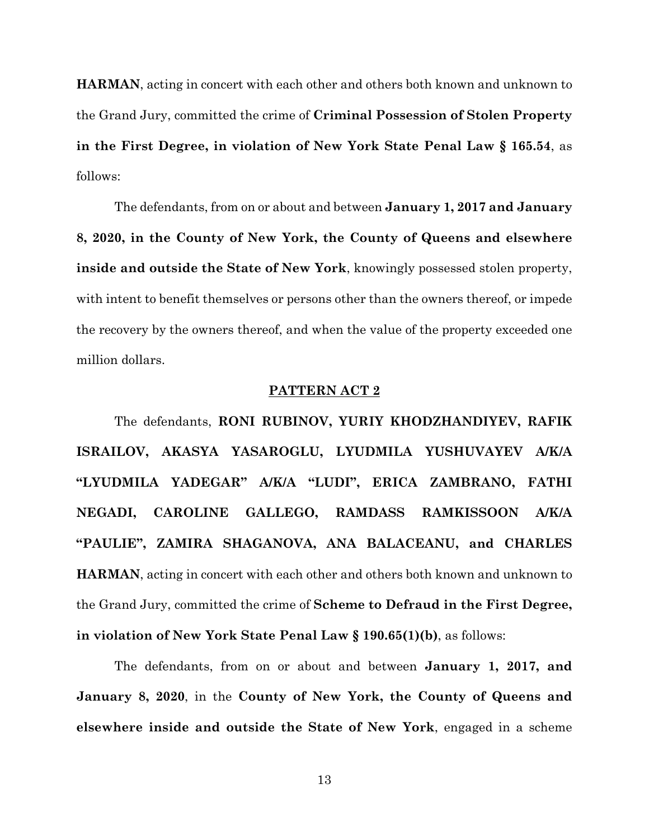**HARMAN**, acting in concert with each other and others both known and unknown to the Grand Jury, committed the crime of **Criminal Possession of Stolen Property in the First Degree, in violation of New York State Penal Law § 165.54**, as follows:

The defendants, from on or about and between **January 1, 2017 and January 8, 2020, in the County of New York, the County of Queens and elsewhere inside and outside the State of New York**, knowingly possessed stolen property, with intent to benefit themselves or persons other than the owners thereof, or impede the recovery by the owners thereof, and when the value of the property exceeded one million dollars.

## **PATTERN ACT 2**

The defendants, **RONI RUBINOV, YURIY KHODZHANDIYEV, RAFIK ISRAILOV, AKASYA YASAROGLU, LYUDMILA YUSHUVAYEV A/K/A "LYUDMILA YADEGAR" A/K/A "LUDI", ERICA ZAMBRANO, FATHI NEGADI, CAROLINE GALLEGO, RAMDASS RAMKISSOON A/K/A "PAULIE", ZAMIRA SHAGANOVA, ANA BALACEANU, and CHARLES HARMAN**, acting in concert with each other and others both known and unknown to the Grand Jury, committed the crime of **Scheme to Defraud in the First Degree, in violation of New York State Penal Law § 190.65(1)(b)**, as follows:

The defendants, from on or about and between **January 1, 2017, and January 8, 2020**, in the **County of New York, the County of Queens and elsewhere inside and outside the State of New York**, engaged in a scheme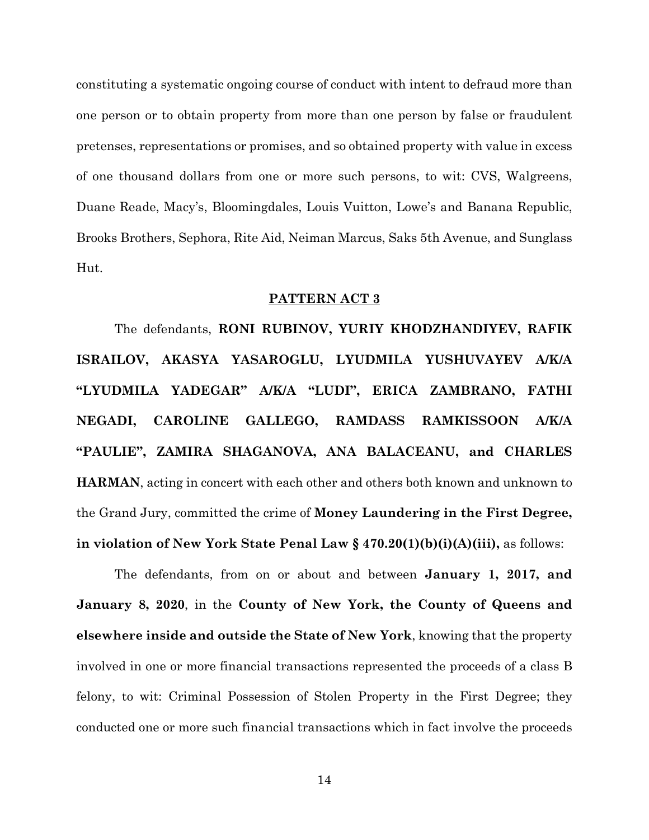constituting a systematic ongoing course of conduct with intent to defraud more than one person or to obtain property from more than one person by false or fraudulent pretenses, representations or promises, and so obtained property with value in excess of one thousand dollars from one or more such persons, to wit: CVS, Walgreens, Duane Reade, Macy's, Bloomingdales, Louis Vuitton, Lowe's and Banana Republic, Brooks Brothers, Sephora, Rite Aid, Neiman Marcus, Saks 5th Avenue, and Sunglass Hut.

### **PATTERN ACT 3**

The defendants, **RONI RUBINOV, YURIY KHODZHANDIYEV, RAFIK ISRAILOV, AKASYA YASAROGLU, LYUDMILA YUSHUVAYEV A/K/A "LYUDMILA YADEGAR" A/K/A "LUDI", ERICA ZAMBRANO, FATHI NEGADI, CAROLINE GALLEGO, RAMDASS RAMKISSOON A/K/A "PAULIE", ZAMIRA SHAGANOVA, ANA BALACEANU, and CHARLES HARMAN**, acting in concert with each other and others both known and unknown to the Grand Jury, committed the crime of **Money Laundering in the First Degree, in violation of New York State Penal Law § 470.20(1)(b)(i)(A)(iii),** as follows:

The defendants, from on or about and between **January 1, 2017, and January 8, 2020**, in the **County of New York, the County of Queens and elsewhere inside and outside the State of New York**, knowing that the property involved in one or more financial transactions represented the proceeds of a class B felony, to wit: Criminal Possession of Stolen Property in the First Degree; they conducted one or more such financial transactions which in fact involve the proceeds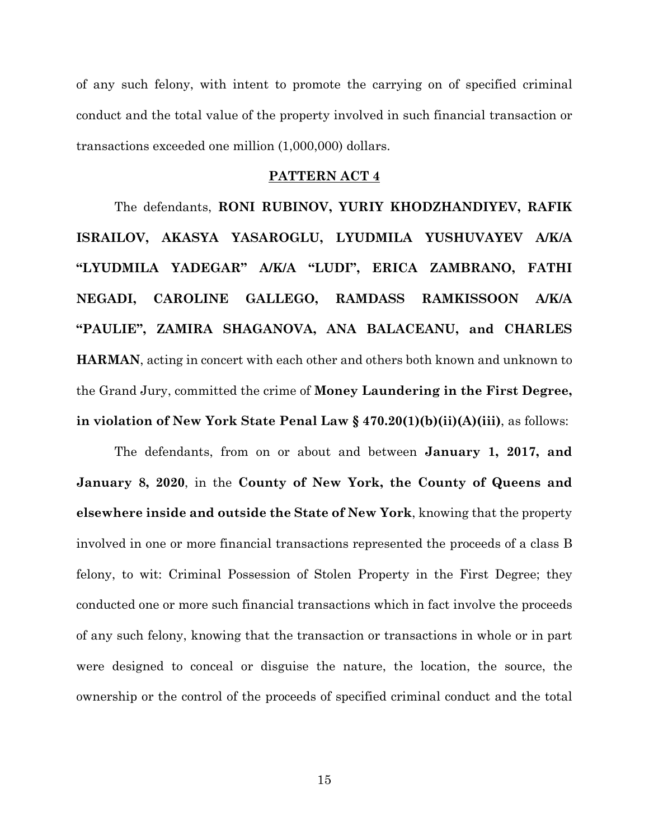of any such felony, with intent to promote the carrying on of specified criminal conduct and the total value of the property involved in such financial transaction or transactions exceeded one million (1,000,000) dollars.

## **PATTERN ACT 4**

The defendants, **RONI RUBINOV, YURIY KHODZHANDIYEV, RAFIK ISRAILOV, AKASYA YASAROGLU, LYUDMILA YUSHUVAYEV A/K/A "LYUDMILA YADEGAR" A/K/A "LUDI", ERICA ZAMBRANO, FATHI NEGADI, CAROLINE GALLEGO, RAMDASS RAMKISSOON A/K/A "PAULIE", ZAMIRA SHAGANOVA, ANA BALACEANU, and CHARLES HARMAN**, acting in concert with each other and others both known and unknown to the Grand Jury, committed the crime of **Money Laundering in the First Degree, in violation of New York State Penal Law § 470.20(1)(b)(ii)(A)(iii)**, as follows:

The defendants, from on or about and between **January 1, 2017, and January 8, 2020**, in the **County of New York, the County of Queens and elsewhere inside and outside the State of New York**, knowing that the property involved in one or more financial transactions represented the proceeds of a class B felony, to wit: Criminal Possession of Stolen Property in the First Degree; they conducted one or more such financial transactions which in fact involve the proceeds of any such felony, knowing that the transaction or transactions in whole or in part were designed to conceal or disguise the nature, the location, the source, the ownership or the control of the proceeds of specified criminal conduct and the total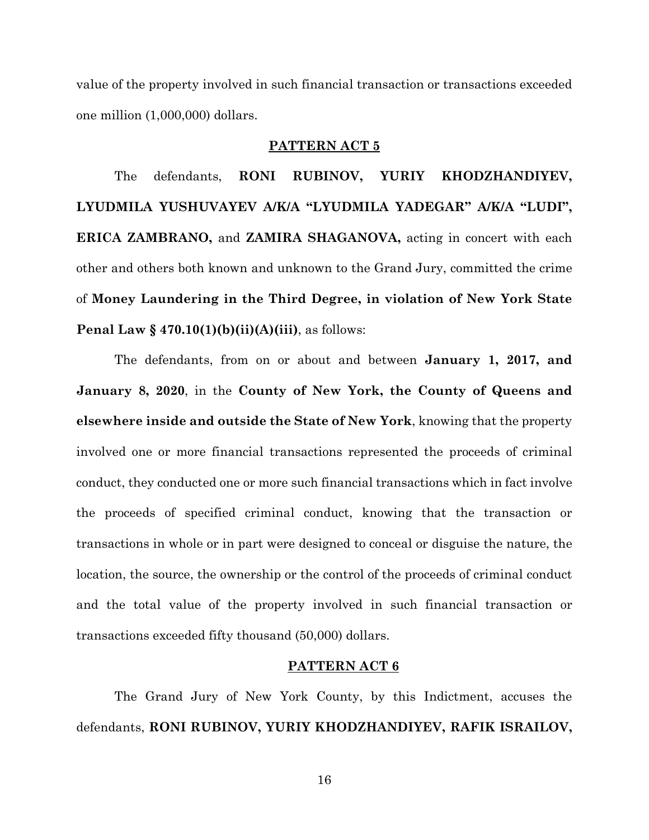value of the property involved in such financial transaction or transactions exceeded one million (1,000,000) dollars.

## **PATTERN ACT 5**

The defendants, **RONI RUBINOV, YURIY KHODZHANDIYEV, LYUDMILA YUSHUVAYEV A/K/A "LYUDMILA YADEGAR" A/K/A "LUDI", ERICA ZAMBRANO,** and **ZAMIRA SHAGANOVA,** acting in concert with each other and others both known and unknown to the Grand Jury, committed the crime of **Money Laundering in the Third Degree, in violation of New York State Penal Law § 470.10(1)(b)(ii)(A)(iii)**, as follows:

The defendants, from on or about and between **January 1, 2017, and January 8, 2020**, in the **County of New York, the County of Queens and elsewhere inside and outside the State of New York**, knowing that the property involved one or more financial transactions represented the proceeds of criminal conduct, they conducted one or more such financial transactions which in fact involve the proceeds of specified criminal conduct, knowing that the transaction or transactions in whole or in part were designed to conceal or disguise the nature, the location, the source, the ownership or the control of the proceeds of criminal conduct and the total value of the property involved in such financial transaction or transactions exceeded fifty thousand (50,000) dollars.

### **PATTERN ACT 6**

The Grand Jury of New York County, by this Indictment, accuses the defendants, **RONI RUBINOV, YURIY KHODZHANDIYEV, RAFIK ISRAILOV,**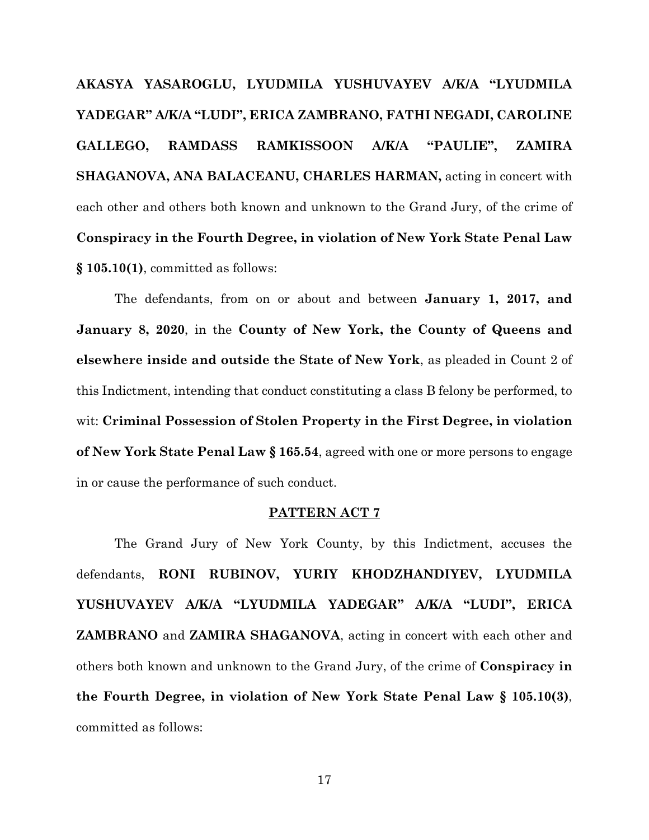**AKASYA YASAROGLU, LYUDMILA YUSHUVAYEV A/K/A "LYUDMILA YADEGAR" A/K/A "LUDI", ERICA ZAMBRANO, FATHI NEGADI, CAROLINE GALLEGO, RAMDASS RAMKISSOON A/K/A "PAULIE", ZAMIRA SHAGANOVA, ANA BALACEANU, CHARLES HARMAN,** acting in concert with each other and others both known and unknown to the Grand Jury, of the crime of **Conspiracy in the Fourth Degree, in violation of New York State Penal Law § 105.10(1)**, committed as follows:

The defendants, from on or about and between **January 1, 2017, and January 8, 2020**, in the **County of New York, the County of Queens and elsewhere inside and outside the State of New York**, as pleaded in Count 2 of this Indictment, intending that conduct constituting a class B felony be performed, to wit: **Criminal Possession of Stolen Property in the First Degree, in violation of New York State Penal Law § 165.54**, agreed with one or more persons to engage in or cause the performance of such conduct.

## **PATTERN ACT 7**

The Grand Jury of New York County, by this Indictment, accuses the defendants, **RONI RUBINOV, YURIY KHODZHANDIYEV, LYUDMILA YUSHUVAYEV A/K/A "LYUDMILA YADEGAR" A/K/A "LUDI", ERICA ZAMBRANO** and **ZAMIRA SHAGANOVA**, acting in concert with each other and others both known and unknown to the Grand Jury, of the crime of **Conspiracy in the Fourth Degree, in violation of New York State Penal Law § 105.10(3)**, committed as follows: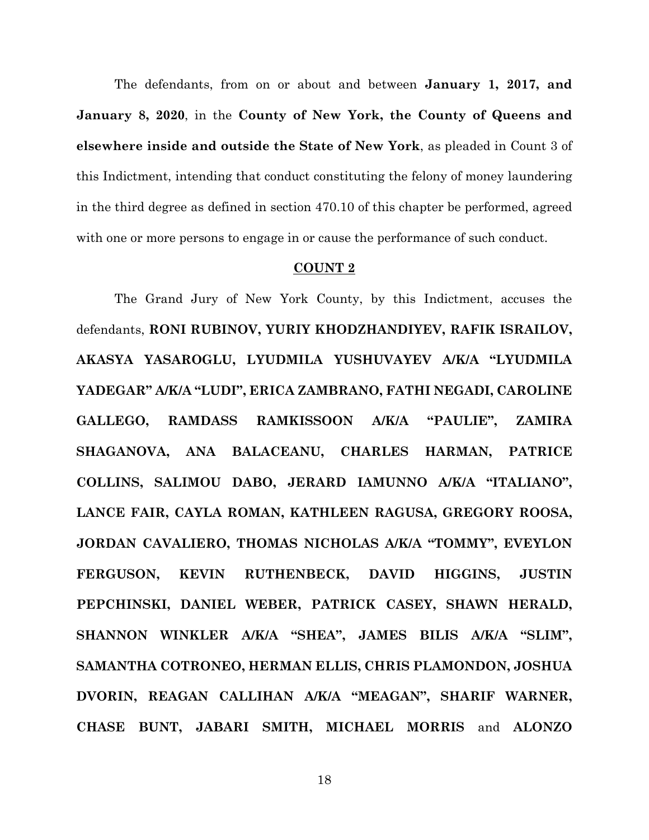The defendants, from on or about and between **January 1, 2017, and January 8, 2020**, in the **County of New York, the County of Queens and elsewhere inside and outside the State of New York**, as pleaded in Count 3 of this Indictment, intending that conduct constituting the felony of money laundering in the third degree as defined in section 470.10 of this chapter be performed, agreed with one or more persons to engage in or cause the performance of such conduct.

## **COUNT 2**

The Grand Jury of New York County, by this Indictment, accuses the defendants, **RONI RUBINOV, YURIY KHODZHANDIYEV, RAFIK ISRAILOV, AKASYA YASAROGLU, LYUDMILA YUSHUVAYEV A/K/A "LYUDMILA YADEGAR" A/K/A "LUDI", ERICA ZAMBRANO, FATHI NEGADI, CAROLINE GALLEGO, RAMDASS RAMKISSOON A/K/A "PAULIE", ZAMIRA SHAGANOVA, ANA BALACEANU, CHARLES HARMAN, PATRICE COLLINS, SALIMOU DABO, JERARD IAMUNNO A/K/A "ITALIANO", LANCE FAIR, CAYLA ROMAN, KATHLEEN RAGUSA, GREGORY ROOSA, JORDAN CAVALIERO, THOMAS NICHOLAS A/K/A "TOMMY", EVEYLON FERGUSON, KEVIN RUTHENBECK, DAVID HIGGINS, JUSTIN PEPCHINSKI, DANIEL WEBER, PATRICK CASEY, SHAWN HERALD, SHANNON WINKLER A/K/A "SHEA", JAMES BILIS A/K/A "SLIM", SAMANTHA COTRONEO, HERMAN ELLIS, CHRIS PLAMONDON, JOSHUA DVORIN, REAGAN CALLIHAN A/K/A "MEAGAN", SHARIF WARNER, CHASE BUNT, JABARI SMITH, MICHAEL MORRIS** and **ALONZO**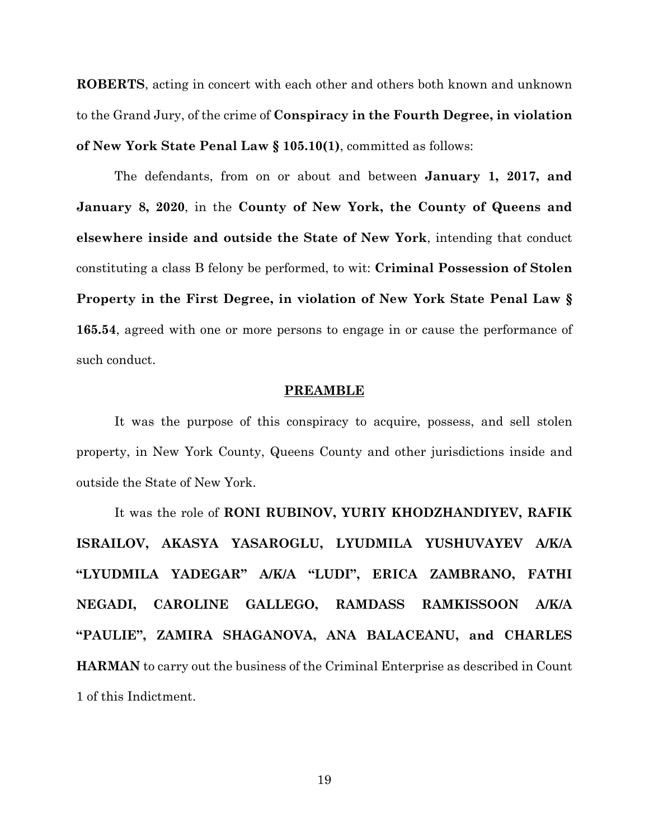**ROBERTS**, acting in concert with each other and others both known and unknown to the Grand Jury, of the crime of **Conspiracy in the Fourth Degree, in violation of New York State Penal Law § 105.10(1)**, committed as follows:

The defendants, from on or about and between **January 1, 2017, and January 8, 2020**, in the **County of New York, the County of Queens and elsewhere inside and outside the State of New York**, intending that conduct constituting a class B felony be performed, to wit: **Criminal Possession of Stolen Property in the First Degree, in violation of New York State Penal Law § 165.54**, agreed with one or more persons to engage in or cause the performance of such conduct.

### **PREAMBLE**

It was the purpose of this conspiracy to acquire, possess, and sell stolen property, in New York County, Queens County and other jurisdictions inside and outside the State of New York.

It was the role of **RONI RUBINOV, YURIY KHODZHANDIYEV, RAFIK ISRAILOV, AKASYA YASAROGLU, LYUDMILA YUSHUVAYEV A/K/A "LYUDMILA YADEGAR" A/K/A "LUDI", ERICA ZAMBRANO, FATHI NEGADI, CAROLINE GALLEGO, RAMDASS RAMKISSOON A/K/A "PAULIE", ZAMIRA SHAGANOVA, ANA BALACEANU, and CHARLES HARMAN** to carry out the business of the Criminal Enterprise as described in Count 1 of this Indictment.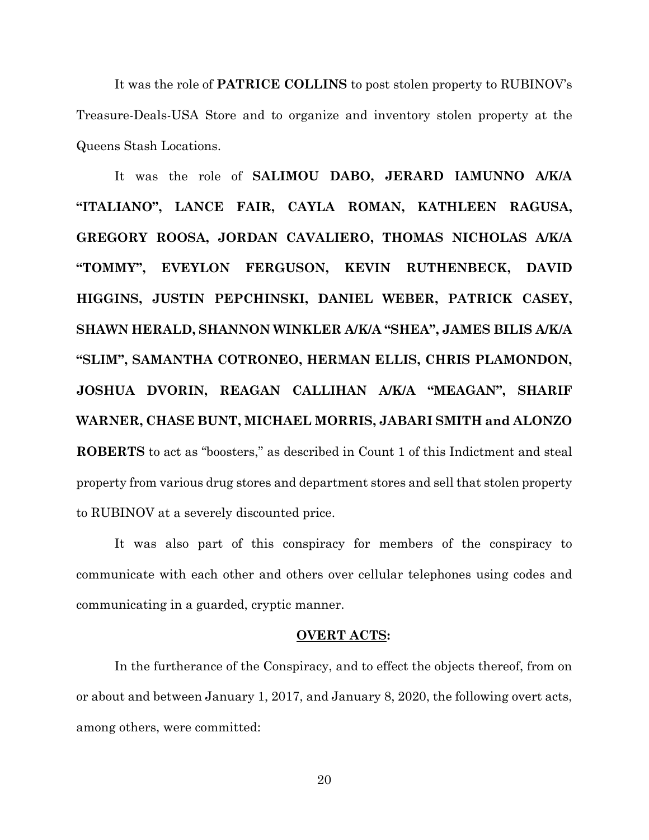It was the role of **PATRICE COLLINS** to post stolen property to RUBINOV's Treasure-Deals-USA Store and to organize and inventory stolen property at the Queens Stash Locations.

It was the role of **SALIMOU DABO, JERARD IAMUNNO A/K/A "ITALIANO", LANCE FAIR, CAYLA ROMAN, KATHLEEN RAGUSA, GREGORY ROOSA, JORDAN CAVALIERO, THOMAS NICHOLAS A/K/A "TOMMY", EVEYLON FERGUSON, KEVIN RUTHENBECK, DAVID HIGGINS, JUSTIN PEPCHINSKI, DANIEL WEBER, PATRICK CASEY, SHAWN HERALD, SHANNON WINKLER A/K/A "SHEA", JAMES BILIS A/K/A "SLIM", SAMANTHA COTRONEO, HERMAN ELLIS, CHRIS PLAMONDON, JOSHUA DVORIN, REAGAN CALLIHAN A/K/A "MEAGAN", SHARIF WARNER, CHASE BUNT, MICHAEL MORRIS, JABARI SMITH and ALONZO ROBERTS** to act as "boosters," as described in Count 1 of this Indictment and steal property from various drug stores and department stores and sell that stolen property to RUBINOV at a severely discounted price.

It was also part of this conspiracy for members of the conspiracy to communicate with each other and others over cellular telephones using codes and communicating in a guarded, cryptic manner.

### **OVERT ACTS:**

In the furtherance of the Conspiracy, and to effect the objects thereof, from on or about and between January 1, 2017, and January 8, 2020, the following overt acts, among others, were committed: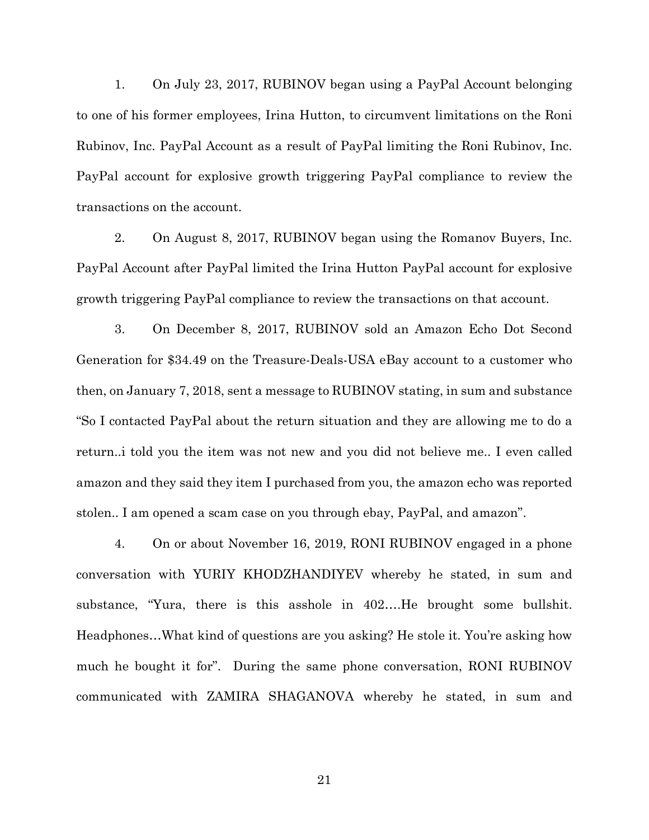1. On July 23, 2017, RUBINOV began using a PayPal Account belonging to one of his former employees, Irina Hutton, to circumvent limitations on the Roni Rubinov, Inc. PayPal Account as a result of PayPal limiting the Roni Rubinov, Inc. PayPal account for explosive growth triggering PayPal compliance to review the transactions on the account.

2. On August 8, 2017, RUBINOV began using the Romanov Buyers, Inc. PayPal Account after PayPal limited the Irina Hutton PayPal account for explosive growth triggering PayPal compliance to review the transactions on that account.

3. On December 8, 2017, RUBINOV sold an Amazon Echo Dot Second Generation for \$34.49 on the Treasure-Deals-USA eBay account to a customer who then, on January 7, 2018, sent a message to RUBINOV stating, in sum and substance "So I contacted PayPal about the return situation and they are allowing me to do a return..i told you the item was not new and you did not believe me.. I even called amazon and they said they item I purchased from you, the amazon echo was reported stolen.. I am opened a scam case on you through ebay, PayPal, and amazon".

4. On or about November 16, 2019, RONI RUBINOV engaged in a phone conversation with YURIY KHODZHANDIYEV whereby he stated, in sum and substance, "Yura, there is this asshole in 402….He brought some bullshit. Headphones…What kind of questions are you asking? He stole it. You're asking how much he bought it for". During the same phone conversation, RONI RUBINOV communicated with ZAMIRA SHAGANOVA whereby he stated, in sum and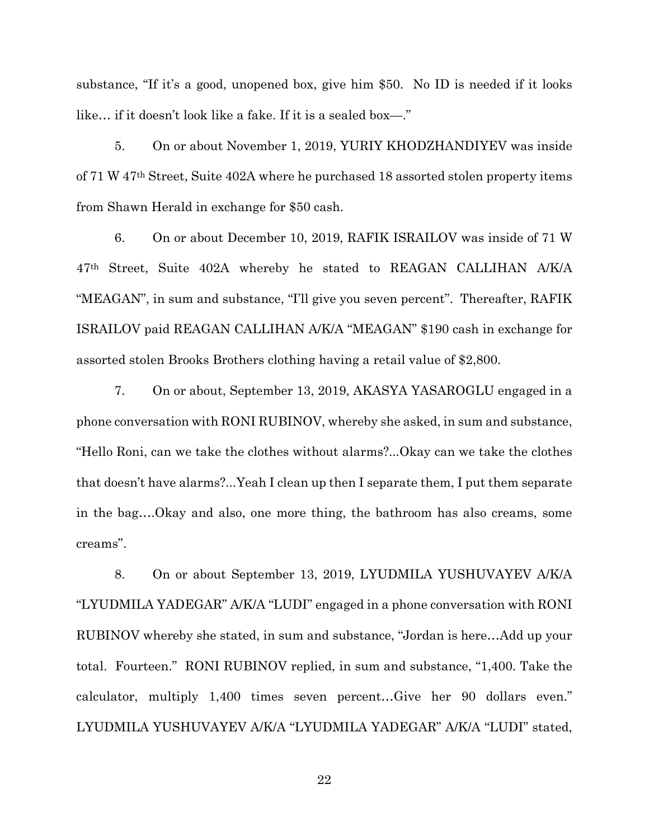substance, "If it's a good, unopened box, give him \$50. No ID is needed if it looks like… if it doesn't look like a fake. If it is a sealed box—."

5. On or about November 1, 2019, YURIY KHODZHANDIYEV was inside of 71 W 47th Street, Suite 402A where he purchased 18 assorted stolen property items from Shawn Herald in exchange for \$50 cash.

6. On or about December 10, 2019, RAFIK ISRAILOV was inside of 71 W 47th Street, Suite 402A whereby he stated to REAGAN CALLIHAN A/K/A "MEAGAN", in sum and substance, "I'll give you seven percent". Thereafter, RAFIK ISRAILOV paid REAGAN CALLIHAN A/K/A "MEAGAN" \$190 cash in exchange for assorted stolen Brooks Brothers clothing having a retail value of \$2,800.

7. On or about, September 13, 2019, AKASYA YASAROGLU engaged in a phone conversation with RONI RUBINOV, whereby she asked, in sum and substance, "Hello Roni, can we take the clothes without alarms?...Okay can we take the clothes that doesn't have alarms?...Yeah I clean up then I separate them, I put them separate in the bag….Okay and also, one more thing, the bathroom has also creams, some creams".

8. On or about September 13, 2019, LYUDMILA YUSHUVAYEV A/K/A "LYUDMILA YADEGAR" A/K/A "LUDI" engaged in a phone conversation with RONI RUBINOV whereby she stated, in sum and substance, "Jordan is here…Add up your total. Fourteen." RONI RUBINOV replied, in sum and substance, "1,400. Take the calculator, multiply 1,400 times seven percent…Give her 90 dollars even." LYUDMILA YUSHUVAYEV A/K/A "LYUDMILA YADEGAR" A/K/A "LUDI" stated,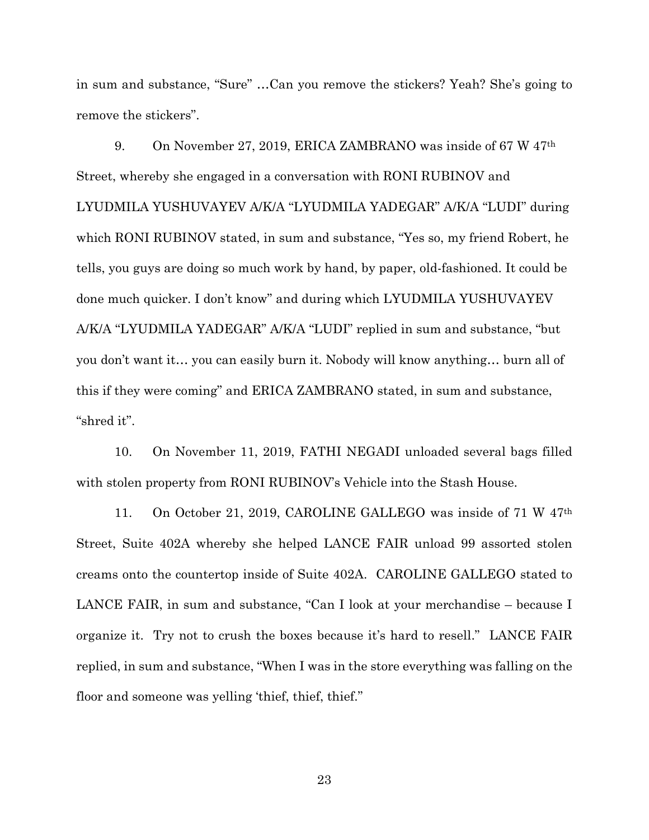in sum and substance, "Sure" …Can you remove the stickers? Yeah? She's going to remove the stickers".

9. On November 27, 2019, ERICA ZAMBRANO was inside of 67 W 47th Street, whereby she engaged in a conversation with RONI RUBINOV and LYUDMILA YUSHUVAYEV A/K/A "LYUDMILA YADEGAR" A/K/A "LUDI" during which RONI RUBINOV stated, in sum and substance, "Yes so, my friend Robert, he tells, you guys are doing so much work by hand, by paper, old-fashioned. It could be done much quicker. I don't know" and during which LYUDMILA YUSHUVAYEV A/K/A "LYUDMILA YADEGAR" A/K/A "LUDI" replied in sum and substance, "but you don't want it… you can easily burn it. Nobody will know anything… burn all of this if they were coming" and ERICA ZAMBRANO stated, in sum and substance, "shred it".

10. On November 11, 2019, FATHI NEGADI unloaded several bags filled with stolen property from RONI RUBINOV's Vehicle into the Stash House.

11. On October 21, 2019, CAROLINE GALLEGO was inside of 71 W 47th Street, Suite 402A whereby she helped LANCE FAIR unload 99 assorted stolen creams onto the countertop inside of Suite 402A. CAROLINE GALLEGO stated to LANCE FAIR, in sum and substance, "Can I look at your merchandise – because I organize it. Try not to crush the boxes because it's hard to resell." LANCE FAIR replied, in sum and substance, "When I was in the store everything was falling on the floor and someone was yelling 'thief, thief, thief."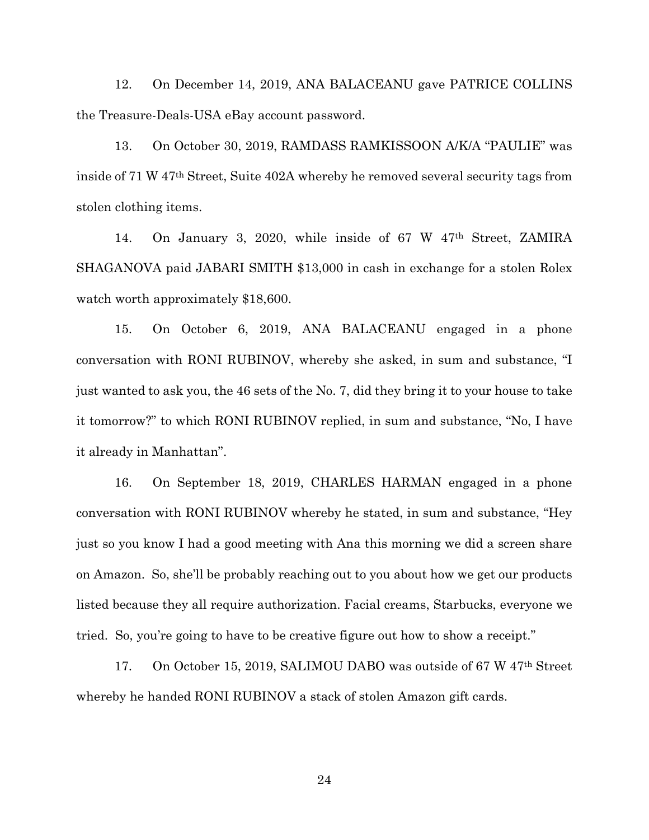12. On December 14, 2019, ANA BALACEANU gave PATRICE COLLINS the Treasure-Deals-USA eBay account password.

13. On October 30, 2019, RAMDASS RAMKISSOON A/K/A "PAULIE" was inside of 71 W 47th Street, Suite 402A whereby he removed several security tags from stolen clothing items.

14. On January 3, 2020, while inside of 67 W 47th Street, ZAMIRA SHAGANOVA paid JABARI SMITH \$13,000 in cash in exchange for a stolen Rolex watch worth approximately \$18,600.

15. On October 6, 2019, ANA BALACEANU engaged in a phone conversation with RONI RUBINOV, whereby she asked, in sum and substance, "I just wanted to ask you, the 46 sets of the No. 7, did they bring it to your house to take it tomorrow?" to which RONI RUBINOV replied, in sum and substance, "No, I have it already in Manhattan".

16. On September 18, 2019, CHARLES HARMAN engaged in a phone conversation with RONI RUBINOV whereby he stated, in sum and substance, "Hey just so you know I had a good meeting with Ana this morning we did a screen share on Amazon. So, she'll be probably reaching out to you about how we get our products listed because they all require authorization. Facial creams, Starbucks, everyone we tried. So, you're going to have to be creative figure out how to show a receipt."

17. On October 15, 2019, SALIMOU DABO was outside of 67 W 47th Street whereby he handed RONI RUBINOV a stack of stolen Amazon gift cards.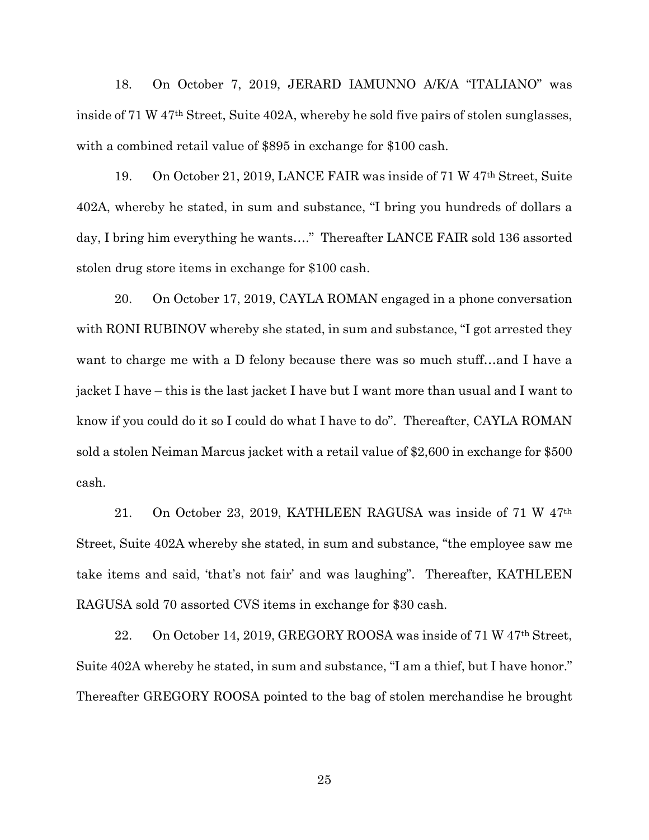18. On October 7, 2019, JERARD IAMUNNO A/K/A "ITALIANO" was inside of 71 W 47th Street, Suite 402A, whereby he sold five pairs of stolen sunglasses, with a combined retail value of \$895 in exchange for \$100 cash.

19. On October 21, 2019, LANCE FAIR was inside of 71 W 47th Street, Suite 402A, whereby he stated, in sum and substance, "I bring you hundreds of dollars a day, I bring him everything he wants…." Thereafter LANCE FAIR sold 136 assorted stolen drug store items in exchange for \$100 cash.

20. On October 17, 2019, CAYLA ROMAN engaged in a phone conversation with RONI RUBINOV whereby she stated, in sum and substance, "I got arrested they want to charge me with a D felony because there was so much stuff…and I have a jacket I have – this is the last jacket I have but I want more than usual and I want to know if you could do it so I could do what I have to do". Thereafter, CAYLA ROMAN sold a stolen Neiman Marcus jacket with a retail value of \$2,600 in exchange for \$500 cash.

21. On October 23, 2019, KATHLEEN RAGUSA was inside of 71 W 47th Street, Suite 402A whereby she stated, in sum and substance, "the employee saw me take items and said, 'that's not fair' and was laughing". Thereafter, KATHLEEN RAGUSA sold 70 assorted CVS items in exchange for \$30 cash.

22. On October 14, 2019, GREGORY ROOSA was inside of 71 W 47<sup>th</sup> Street, Suite 402A whereby he stated, in sum and substance, "I am a thief, but I have honor." Thereafter GREGORY ROOSA pointed to the bag of stolen merchandise he brought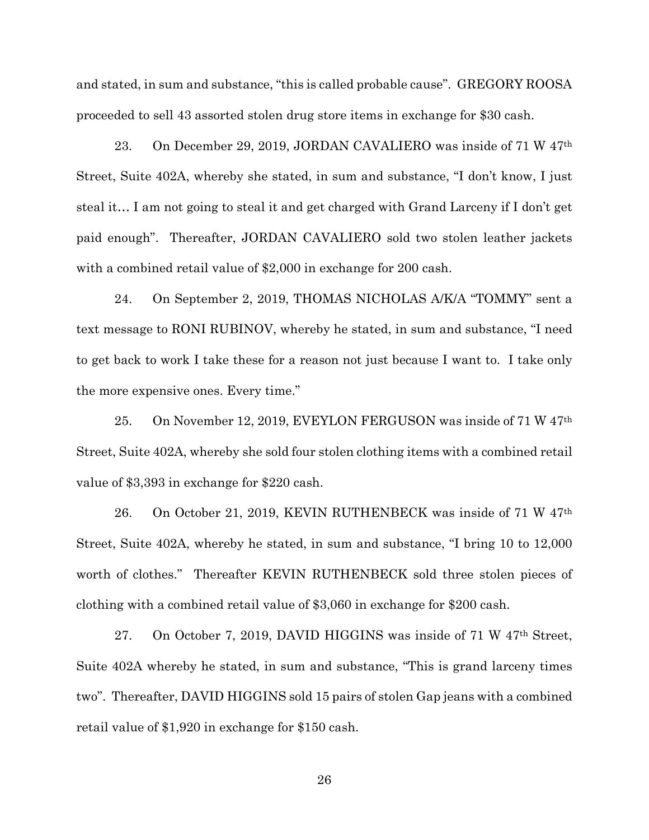and stated, in sum and substance, "this is called probable cause". GREGORY ROOSA proceeded to sell 43 assorted stolen drug store items in exchange for \$30 cash.

23. On December 29, 2019, JORDAN CAVALIERO was inside of 71 W 47th Street, Suite 402A, whereby she stated, in sum and substance, "I don't know, I just steal it… I am not going to steal it and get charged with Grand Larceny if I don't get paid enough". Thereafter, JORDAN CAVALIERO sold two stolen leather jackets with a combined retail value of \$2,000 in exchange for 200 cash.

24. On September 2, 2019, THOMAS NICHOLAS A/K/A "TOMMY" sent a text message to RONI RUBINOV, whereby he stated, in sum and substance, "I need to get back to work I take these for a reason not just because I want to. I take only the more expensive ones. Every time."

25. On November 12, 2019, EVEYLON FERGUSON was inside of 71 W 47th Street, Suite 402A, whereby she sold four stolen clothing items with a combined retail value of \$3,393 in exchange for \$220 cash.

26. On October 21, 2019, KEVIN RUTHENBECK was inside of 71 W 47th Street, Suite 402A, whereby he stated, in sum and substance, "I bring 10 to 12,000 worth of clothes." Thereafter KEVIN RUTHENBECK sold three stolen pieces of clothing with a combined retail value of \$3,060 in exchange for \$200 cash.

27. On October 7, 2019, DAVID HIGGINS was inside of 71 W 47th Street, Suite 402A whereby he stated, in sum and substance, "This is grand larceny times two". Thereafter, DAVID HIGGINS sold 15 pairs of stolen Gap jeans with a combined retail value of \$1,920 in exchange for \$150 cash.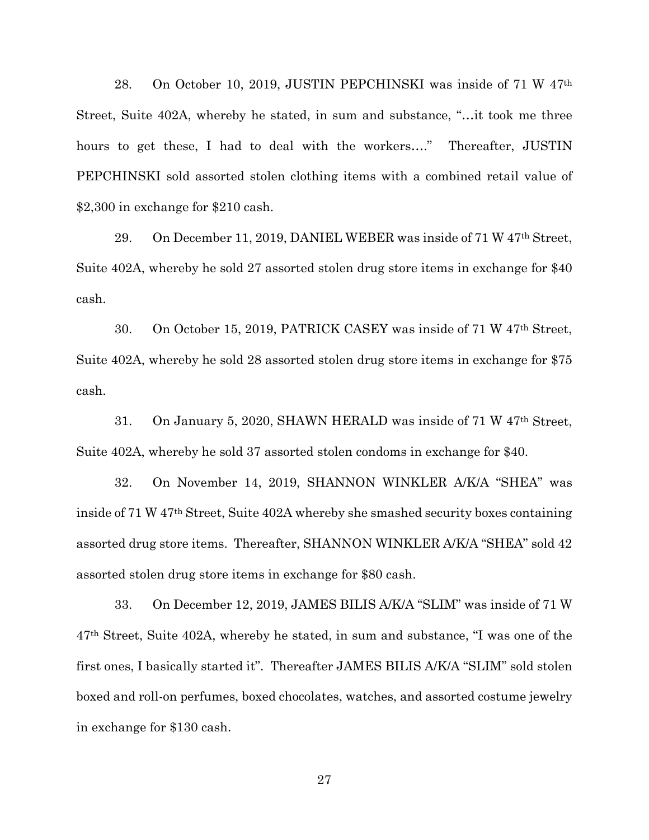28. On October 10, 2019, JUSTIN PEPCHINSKI was inside of 71 W 47th Street, Suite 402A, whereby he stated, in sum and substance, "…it took me three hours to get these, I had to deal with the workers…." Thereafter, JUSTIN PEPCHINSKI sold assorted stolen clothing items with a combined retail value of \$2,300 in exchange for \$210 cash.

29. On December 11, 2019, DANIEL WEBER was inside of 71 W 47th Street, Suite 402A, whereby he sold 27 assorted stolen drug store items in exchange for \$40 cash.

30. On October 15, 2019, PATRICK CASEY was inside of 71 W 47th Street, Suite 402A, whereby he sold 28 assorted stolen drug store items in exchange for \$75 cash.

31. On January 5, 2020, SHAWN HERALD was inside of 71 W 47th Street, Suite 402A, whereby he sold 37 assorted stolen condoms in exchange for \$40.

32. On November 14, 2019, SHANNON WINKLER A/K/A "SHEA" was inside of 71 W 47th Street, Suite 402A whereby she smashed security boxes containing assorted drug store items. Thereafter, SHANNON WINKLER A/K/A "SHEA" sold 42 assorted stolen drug store items in exchange for \$80 cash.

33. On December 12, 2019, JAMES BILIS A/K/A "SLIM" was inside of 71 W 47th Street, Suite 402A, whereby he stated, in sum and substance, "I was one of the first ones, I basically started it". Thereafter JAMES BILIS A/K/A "SLIM" sold stolen boxed and roll-on perfumes, boxed chocolates, watches, and assorted costume jewelry in exchange for \$130 cash.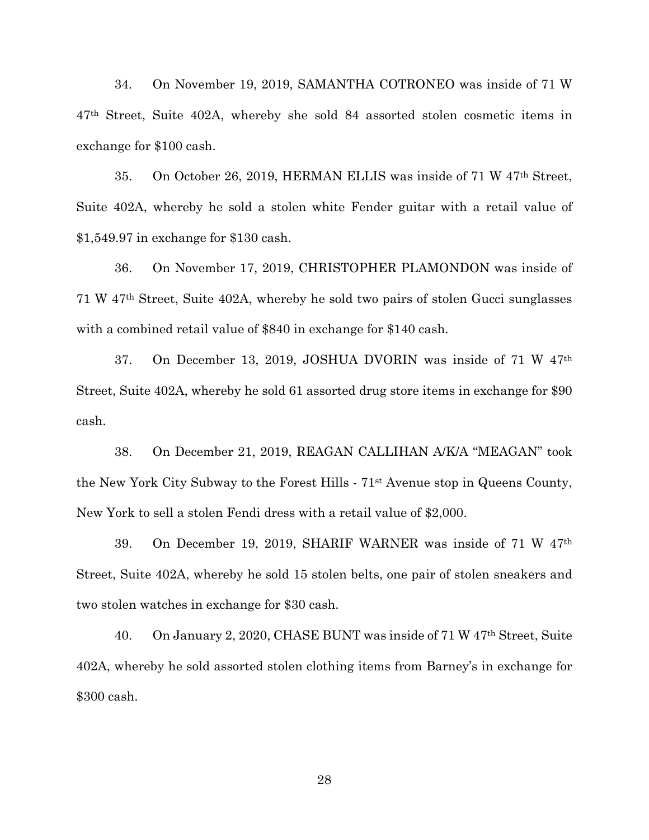34. On November 19, 2019, SAMANTHA COTRONEO was inside of 71 W 47th Street, Suite 402A, whereby she sold 84 assorted stolen cosmetic items in exchange for \$100 cash.

35. On October 26, 2019, HERMAN ELLIS was inside of 71 W 47th Street, Suite 402A, whereby he sold a stolen white Fender guitar with a retail value of \$1,549.97 in exchange for \$130 cash.

36. On November 17, 2019, CHRISTOPHER PLAMONDON was inside of 71 W 47th Street, Suite 402A, whereby he sold two pairs of stolen Gucci sunglasses with a combined retail value of \$840 in exchange for \$140 cash.

37. On December 13, 2019, JOSHUA DVORIN was inside of 71 W 47th Street, Suite 402A, whereby he sold 61 assorted drug store items in exchange for \$90 cash.

38. On December 21, 2019, REAGAN CALLIHAN A/K/A "MEAGAN" took the New York City Subway to the Forest Hills - 71st Avenue stop in Queens County, New York to sell a stolen Fendi dress with a retail value of \$2,000.

39. On December 19, 2019, SHARIF WARNER was inside of 71 W 47th Street, Suite 402A, whereby he sold 15 stolen belts, one pair of stolen sneakers and two stolen watches in exchange for \$30 cash.

40. On January 2, 2020, CHASE BUNT was inside of 71 W 47th Street, Suite 402A, whereby he sold assorted stolen clothing items from Barney's in exchange for \$300 cash.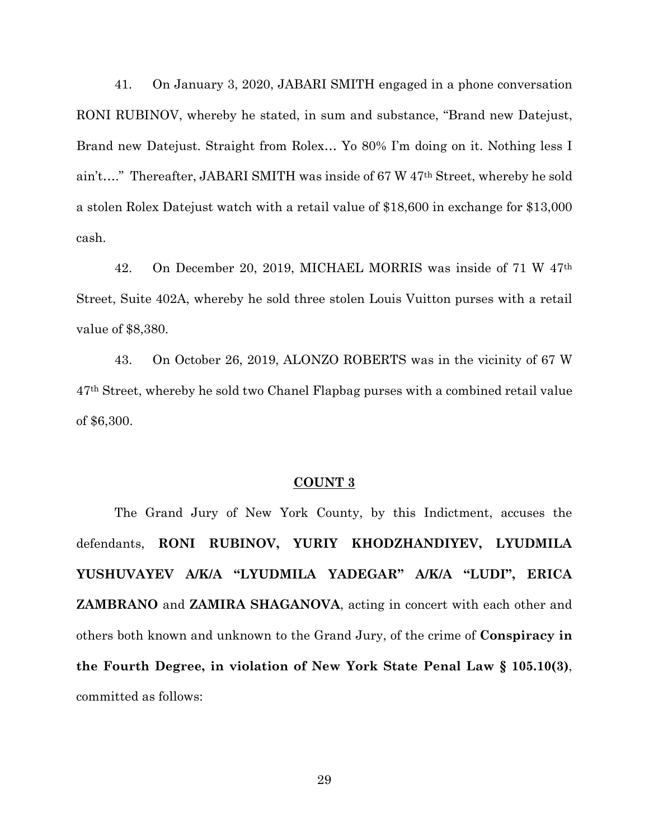41. On January 3, 2020, JABARI SMITH engaged in a phone conversation RONI RUBINOV, whereby he stated, in sum and substance, "Brand new Datejust, Brand new Datejust. Straight from Rolex… Yo 80% I'm doing on it. Nothing less I ain't…." Thereafter, JABARI SMITH was inside of 67 W 47th Street, whereby he sold a stolen Rolex Datejust watch with a retail value of \$18,600 in exchange for \$13,000 cash.

42. On December 20, 2019, MICHAEL MORRIS was inside of 71 W 47th Street, Suite 402A, whereby he sold three stolen Louis Vuitton purses with a retail value of \$8,380.

43. On October 26, 2019, ALONZO ROBERTS was in the vicinity of 67 W 47th Street, whereby he sold two Chanel Flapbag purses with a combined retail value of \$6,300.

### **COUNT 3**

The Grand Jury of New York County, by this Indictment, accuses the defendants, **RONI RUBINOV, YURIY KHODZHANDIYEV, LYUDMILA YUSHUVAYEV A/K/A "LYUDMILA YADEGAR" A/K/A "LUDI", ERICA ZAMBRANO** and **ZAMIRA SHAGANOVA**, acting in concert with each other and others both known and unknown to the Grand Jury, of the crime of **Conspiracy in the Fourth Degree, in violation of New York State Penal Law § 105.10(3)**, committed as follows: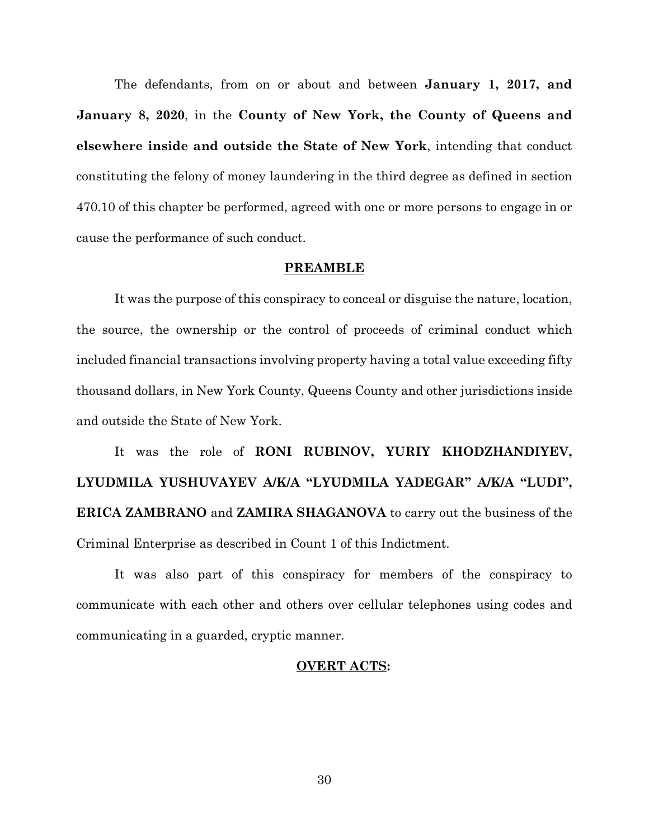The defendants, from on or about and between **January 1, 2017, and January 8, 2020**, in the **County of New York, the County of Queens and elsewhere inside and outside the State of New York**, intending that conduct constituting the felony of money laundering in the third degree as defined in section 470.10 of this chapter be performed, agreed with one or more persons to engage in or cause the performance of such conduct.

### **PREAMBLE**

It was the purpose of this conspiracy to conceal or disguise the nature, location, the source, the ownership or the control of proceeds of criminal conduct which included financial transactions involving property having a total value exceeding fifty thousand dollars, in New York County, Queens County and other jurisdictions inside and outside the State of New York.

It was the role of **RONI RUBINOV, YURIY KHODZHANDIYEV, LYUDMILA YUSHUVAYEV A/K/A "LYUDMILA YADEGAR" A/K/A "LUDI", ERICA ZAMBRANO** and **ZAMIRA SHAGANOVA** to carry out the business of the Criminal Enterprise as described in Count 1 of this Indictment.

It was also part of this conspiracy for members of the conspiracy to communicate with each other and others over cellular telephones using codes and communicating in a guarded, cryptic manner.

## **OVERT ACTS:**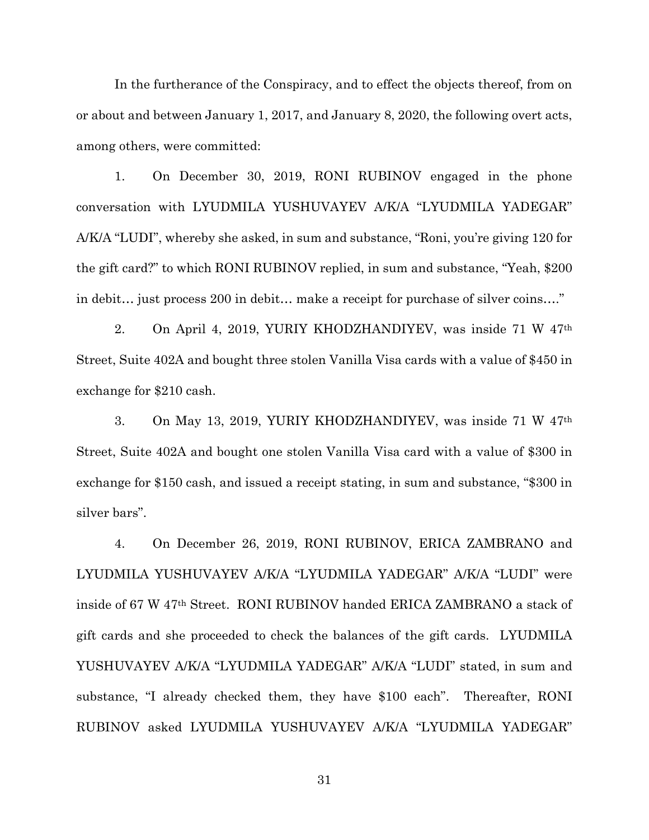In the furtherance of the Conspiracy, and to effect the objects thereof, from on or about and between January 1, 2017, and January 8, 2020, the following overt acts, among others, were committed:

1. On December 30, 2019, RONI RUBINOV engaged in the phone conversation with LYUDMILA YUSHUVAYEV A/K/A "LYUDMILA YADEGAR" A/K/A "LUDI", whereby she asked, in sum and substance, "Roni, you're giving 120 for the gift card?" to which RONI RUBINOV replied, in sum and substance, "Yeah, \$200 in debit… just process 200 in debit… make a receipt for purchase of silver coins…."

2. On April 4, 2019, YURIY KHODZHANDIYEV, was inside 71 W 47th Street, Suite 402A and bought three stolen Vanilla Visa cards with a value of \$450 in exchange for \$210 cash.

3. On May 13, 2019, YURIY KHODZHANDIYEV, was inside 71 W 47th Street, Suite 402A and bought one stolen Vanilla Visa card with a value of \$300 in exchange for \$150 cash, and issued a receipt stating, in sum and substance, "\$300 in silver bars".

4. On December 26, 2019, RONI RUBINOV, ERICA ZAMBRANO and LYUDMILA YUSHUVAYEV A/K/A "LYUDMILA YADEGAR" A/K/A "LUDI" were inside of 67 W 47th Street. RONI RUBINOV handed ERICA ZAMBRANO a stack of gift cards and she proceeded to check the balances of the gift cards. LYUDMILA YUSHUVAYEV A/K/A "LYUDMILA YADEGAR" A/K/A "LUDI" stated, in sum and substance, "I already checked them, they have \$100 each". Thereafter, RONI RUBINOV asked LYUDMILA YUSHUVAYEV A/K/A "LYUDMILA YADEGAR"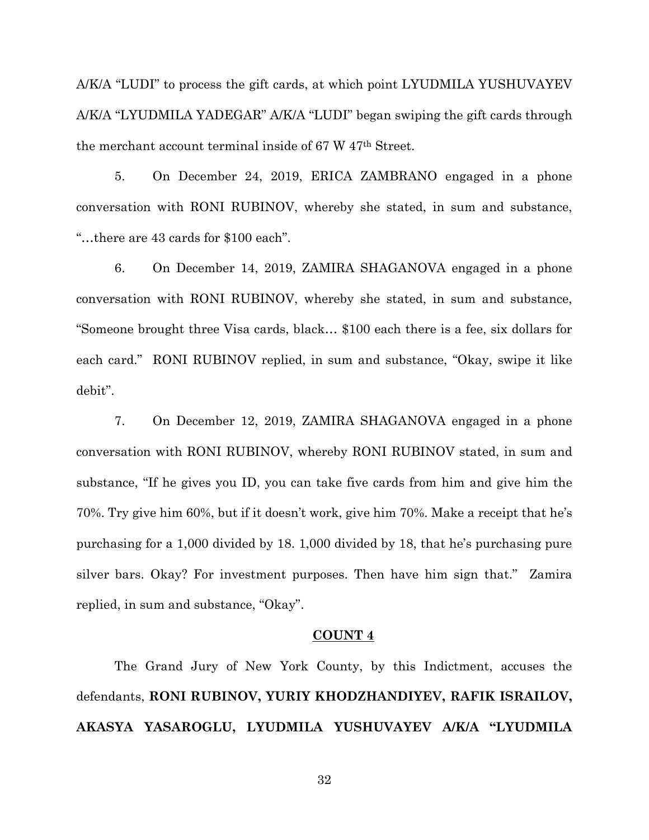A/K/A "LUDI" to process the gift cards, at which point LYUDMILA YUSHUVAYEV A/K/A "LYUDMILA YADEGAR" A/K/A "LUDI" began swiping the gift cards through the merchant account terminal inside of 67 W 47th Street.

5. On December 24, 2019, ERICA ZAMBRANO engaged in a phone conversation with RONI RUBINOV, whereby she stated, in sum and substance, "…there are 43 cards for \$100 each".

6. On December 14, 2019, ZAMIRA SHAGANOVA engaged in a phone conversation with RONI RUBINOV, whereby she stated, in sum and substance, "Someone brought three Visa cards, black… \$100 each there is a fee, six dollars for each card." RONI RUBINOV replied, in sum and substance, "Okay, swipe it like debit".

7. On December 12, 2019, ZAMIRA SHAGANOVA engaged in a phone conversation with RONI RUBINOV, whereby RONI RUBINOV stated, in sum and substance, "If he gives you ID, you can take five cards from him and give him the 70%. Try give him 60%, but if it doesn't work, give him 70%. Make a receipt that he's purchasing for a 1,000 divided by 18. 1,000 divided by 18, that he's purchasing pure silver bars. Okay? For investment purposes. Then have him sign that." Zamira replied, in sum and substance, "Okay".

## **COUNT 4**

The Grand Jury of New York County, by this Indictment, accuses the defendants, **RONI RUBINOV, YURIY KHODZHANDIYEV, RAFIK ISRAILOV, AKASYA YASAROGLU, LYUDMILA YUSHUVAYEV A/K/A "LYUDMILA**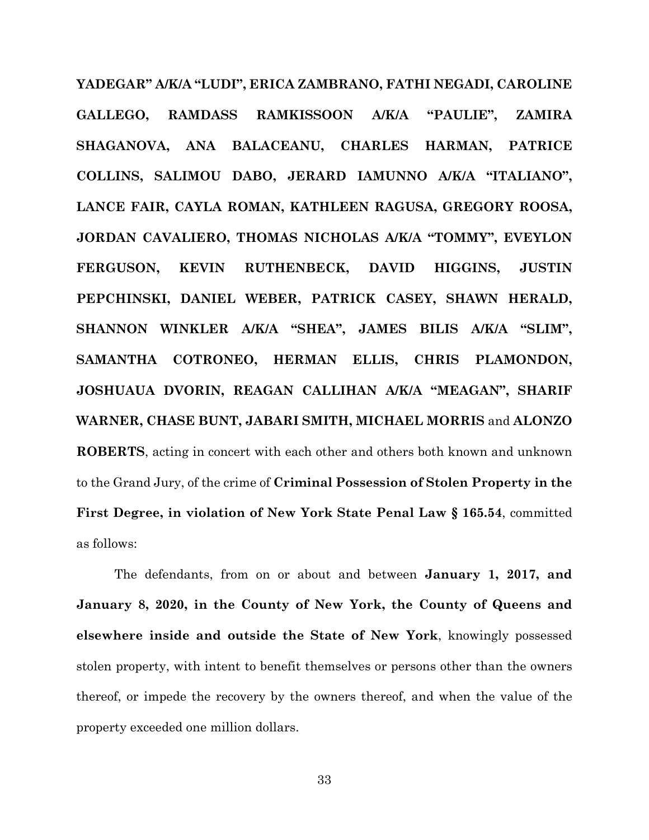**YADEGAR" A/K/A "LUDI", ERICA ZAMBRANO, FATHI NEGADI, CAROLINE GALLEGO, RAMDASS RAMKISSOON A/K/A "PAULIE", ZAMIRA SHAGANOVA, ANA BALACEANU, CHARLES HARMAN, PATRICE COLLINS, SALIMOU DABO, JERARD IAMUNNO A/K/A "ITALIANO", LANCE FAIR, CAYLA ROMAN, KATHLEEN RAGUSA, GREGORY ROOSA, JORDAN CAVALIERO, THOMAS NICHOLAS A/K/A "TOMMY", EVEYLON FERGUSON, KEVIN RUTHENBECK, DAVID HIGGINS, JUSTIN PEPCHINSKI, DANIEL WEBER, PATRICK CASEY, SHAWN HERALD, SHANNON WINKLER A/K/A "SHEA", JAMES BILIS A/K/A "SLIM", SAMANTHA COTRONEO, HERMAN ELLIS, CHRIS PLAMONDON, JOSHUAUA DVORIN, REAGAN CALLIHAN A/K/A "MEAGAN", SHARIF WARNER, CHASE BUNT, JABARI SMITH, MICHAEL MORRIS** and **ALONZO ROBERTS**, acting in concert with each other and others both known and unknown to the Grand Jury, of the crime of **Criminal Possession of Stolen Property in the First Degree, in violation of New York State Penal Law § 165.54**, committed as follows:

The defendants, from on or about and between **January 1, 2017, and January 8, 2020, in the County of New York, the County of Queens and elsewhere inside and outside the State of New York**, knowingly possessed stolen property, with intent to benefit themselves or persons other than the owners thereof, or impede the recovery by the owners thereof, and when the value of the property exceeded one million dollars.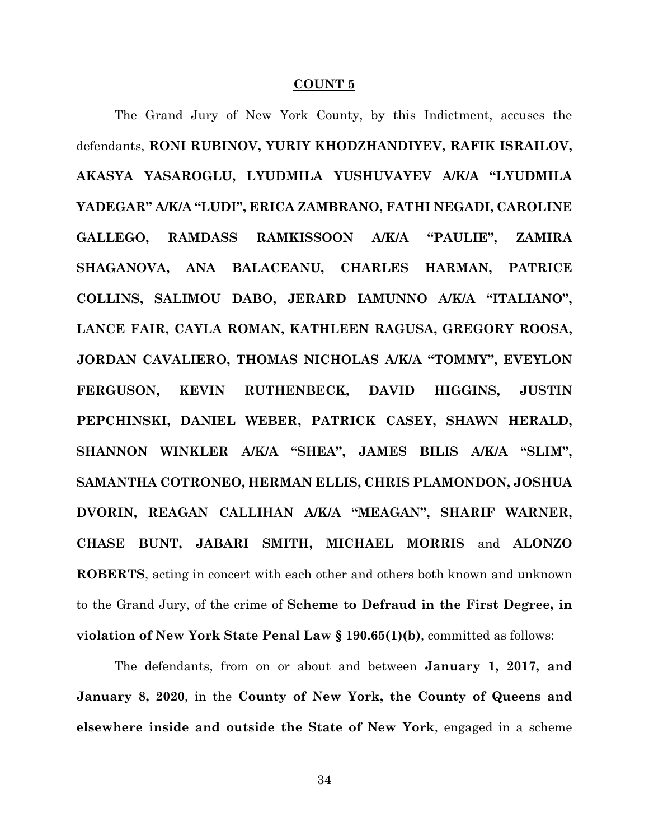### **COUNT 5**

The Grand Jury of New York County, by this Indictment, accuses the defendants, **RONI RUBINOV, YURIY KHODZHANDIYEV, RAFIK ISRAILOV, AKASYA YASAROGLU, LYUDMILA YUSHUVAYEV A/K/A "LYUDMILA YADEGAR" A/K/A "LUDI", ERICA ZAMBRANO, FATHI NEGADI, CAROLINE GALLEGO, RAMDASS RAMKISSOON A/K/A "PAULIE", ZAMIRA SHAGANOVA, ANA BALACEANU, CHARLES HARMAN, PATRICE COLLINS, SALIMOU DABO, JERARD IAMUNNO A/K/A "ITALIANO", LANCE FAIR, CAYLA ROMAN, KATHLEEN RAGUSA, GREGORY ROOSA, JORDAN CAVALIERO, THOMAS NICHOLAS A/K/A "TOMMY", EVEYLON FERGUSON, KEVIN RUTHENBECK, DAVID HIGGINS, JUSTIN PEPCHINSKI, DANIEL WEBER, PATRICK CASEY, SHAWN HERALD, SHANNON WINKLER A/K/A "SHEA", JAMES BILIS A/K/A "SLIM", SAMANTHA COTRONEO, HERMAN ELLIS, CHRIS PLAMONDON, JOSHUA DVORIN, REAGAN CALLIHAN A/K/A "MEAGAN", SHARIF WARNER, CHASE BUNT, JABARI SMITH, MICHAEL MORRIS** and **ALONZO ROBERTS**, acting in concert with each other and others both known and unknown to the Grand Jury, of the crime of **Scheme to Defraud in the First Degree, in violation of New York State Penal Law § 190.65(1)(b)**, committed as follows:

The defendants, from on or about and between **January 1, 2017, and January 8, 2020**, in the **County of New York, the County of Queens and elsewhere inside and outside the State of New York**, engaged in a scheme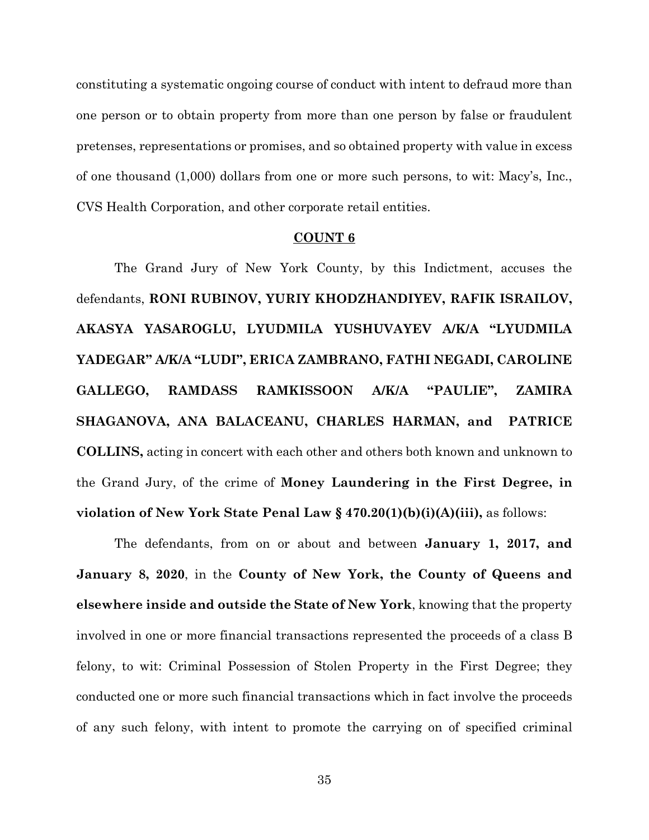constituting a systematic ongoing course of conduct with intent to defraud more than one person or to obtain property from more than one person by false or fraudulent pretenses, representations or promises, and so obtained property with value in excess of one thousand (1,000) dollars from one or more such persons, to wit: Macy's, Inc., CVS Health Corporation, and other corporate retail entities.

#### **COUNT 6**

The Grand Jury of New York County, by this Indictment, accuses the defendants, **RONI RUBINOV, YURIY KHODZHANDIYEV, RAFIK ISRAILOV, AKASYA YASAROGLU, LYUDMILA YUSHUVAYEV A/K/A "LYUDMILA YADEGAR" A/K/A "LUDI", ERICA ZAMBRANO, FATHI NEGADI, CAROLINE GALLEGO, RAMDASS RAMKISSOON A/K/A "PAULIE", ZAMIRA SHAGANOVA, ANA BALACEANU, CHARLES HARMAN, and PATRICE COLLINS,** acting in concert with each other and others both known and unknown to the Grand Jury, of the crime of **Money Laundering in the First Degree, in violation of New York State Penal Law § 470.20(1)(b)(i)(A)(iii),** as follows:

The defendants, from on or about and between **January 1, 2017, and January 8, 2020**, in the **County of New York, the County of Queens and elsewhere inside and outside the State of New York**, knowing that the property involved in one or more financial transactions represented the proceeds of a class B felony, to wit: Criminal Possession of Stolen Property in the First Degree; they conducted one or more such financial transactions which in fact involve the proceeds of any such felony, with intent to promote the carrying on of specified criminal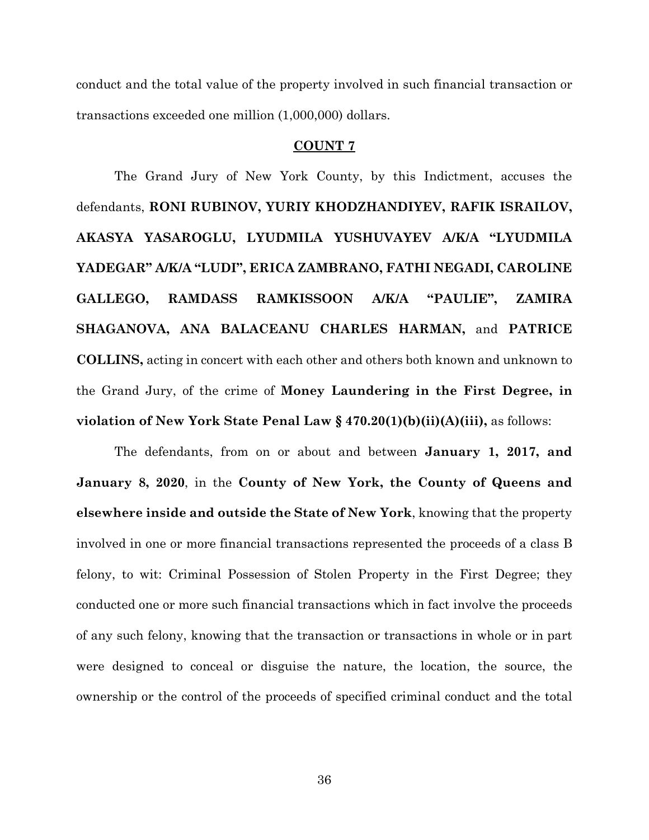conduct and the total value of the property involved in such financial transaction or transactions exceeded one million (1,000,000) dollars.

## **COUNT 7**

The Grand Jury of New York County, by this Indictment, accuses the defendants, **RONI RUBINOV, YURIY KHODZHANDIYEV, RAFIK ISRAILOV, AKASYA YASAROGLU, LYUDMILA YUSHUVAYEV A/K/A "LYUDMILA YADEGAR" A/K/A "LUDI", ERICA ZAMBRANO, FATHI NEGADI, CAROLINE GALLEGO, RAMDASS RAMKISSOON A/K/A "PAULIE", ZAMIRA SHAGANOVA, ANA BALACEANU CHARLES HARMAN,** and **PATRICE COLLINS,** acting in concert with each other and others both known and unknown to the Grand Jury, of the crime of **Money Laundering in the First Degree, in violation of New York State Penal Law § 470.20(1)(b)(ii)(A)(iii),** as follows:

The defendants, from on or about and between **January 1, 2017, and January 8, 2020**, in the **County of New York, the County of Queens and elsewhere inside and outside the State of New York**, knowing that the property involved in one or more financial transactions represented the proceeds of a class B felony, to wit: Criminal Possession of Stolen Property in the First Degree; they conducted one or more such financial transactions which in fact involve the proceeds of any such felony, knowing that the transaction or transactions in whole or in part were designed to conceal or disguise the nature, the location, the source, the ownership or the control of the proceeds of specified criminal conduct and the total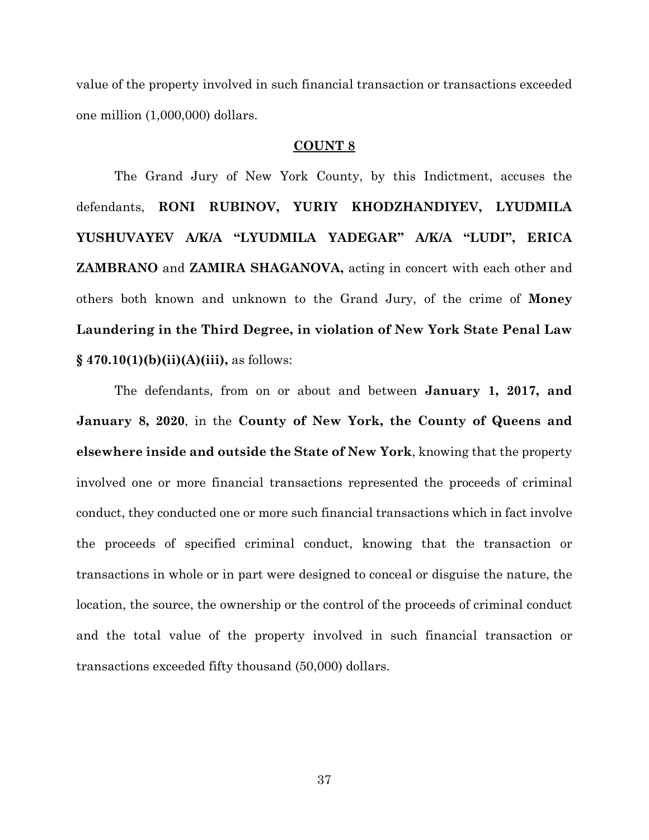value of the property involved in such financial transaction or transactions exceeded one million (1,000,000) dollars.

## **COUNT 8**

The Grand Jury of New York County, by this Indictment, accuses the defendants, **RONI RUBINOV, YURIY KHODZHANDIYEV, LYUDMILA YUSHUVAYEV A/K/A "LYUDMILA YADEGAR" A/K/A "LUDI", ERICA ZAMBRANO** and **ZAMIRA SHAGANOVA,** acting in concert with each other and others both known and unknown to the Grand Jury, of the crime of **Money Laundering in the Third Degree, in violation of New York State Penal Law § 470.10(1)(b)(ii)(A)(iii),** as follows:

The defendants, from on or about and between **January 1, 2017, and January 8, 2020**, in the **County of New York, the County of Queens and elsewhere inside and outside the State of New York**, knowing that the property involved one or more financial transactions represented the proceeds of criminal conduct, they conducted one or more such financial transactions which in fact involve the proceeds of specified criminal conduct, knowing that the transaction or transactions in whole or in part were designed to conceal or disguise the nature, the location, the source, the ownership or the control of the proceeds of criminal conduct and the total value of the property involved in such financial transaction or transactions exceeded fifty thousand (50,000) dollars.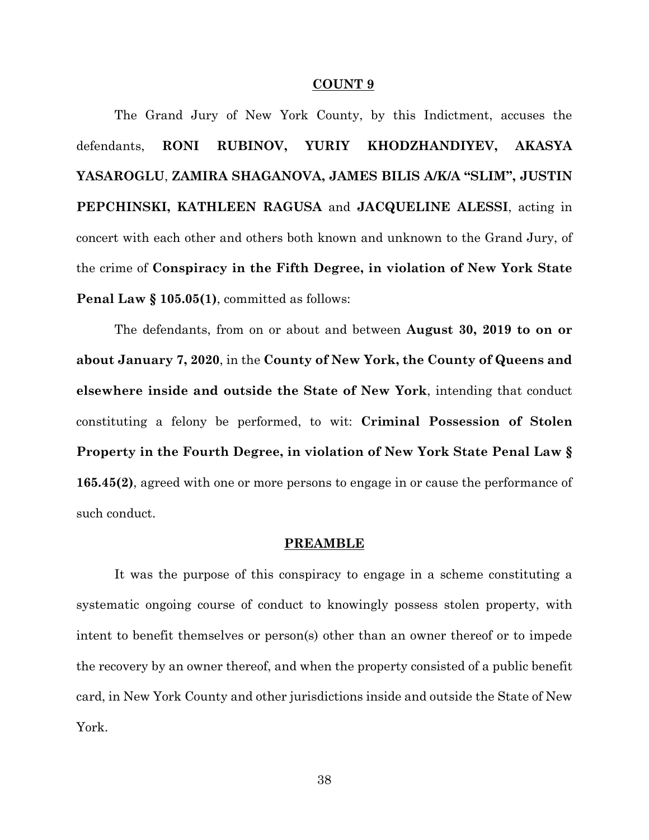### **COUNT 9**

The Grand Jury of New York County, by this Indictment, accuses the defendants, **RONI RUBINOV, YURIY KHODZHANDIYEV, AKASYA YASAROGLU**, **ZAMIRA SHAGANOVA, JAMES BILIS A/K/A "SLIM", JUSTIN PEPCHINSKI, KATHLEEN RAGUSA** and **JACQUELINE ALESSI**, acting in concert with each other and others both known and unknown to the Grand Jury, of the crime of **Conspiracy in the Fifth Degree, in violation of New York State Penal Law § 105.05(1)**, committed as follows:

The defendants, from on or about and between **August 30, 2019 to on or about January 7, 2020**, in the **County of New York, the County of Queens and elsewhere inside and outside the State of New York**, intending that conduct constituting a felony be performed, to wit: **Criminal Possession of Stolen Property in the Fourth Degree, in violation of New York State Penal Law § 165.45(2)**, agreed with one or more persons to engage in or cause the performance of such conduct.

#### **PREAMBLE**

It was the purpose of this conspiracy to engage in a scheme constituting a systematic ongoing course of conduct to knowingly possess stolen property, with intent to benefit themselves or person(s) other than an owner thereof or to impede the recovery by an owner thereof, and when the property consisted of a public benefit card, in New York County and other jurisdictions inside and outside the State of New York.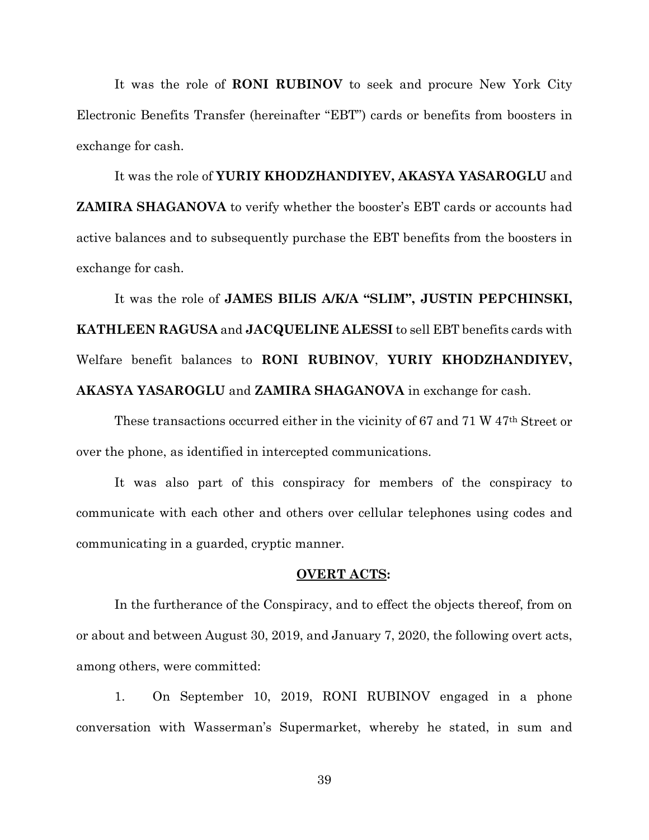It was the role of **RONI RUBINOV** to seek and procure New York City Electronic Benefits Transfer (hereinafter "EBT") cards or benefits from boosters in exchange for cash.

It was the role of **YURIY KHODZHANDIYEV, AKASYA YASAROGLU** and **ZAMIRA SHAGANOVA** to verify whether the booster's EBT cards or accounts had active balances and to subsequently purchase the EBT benefits from the boosters in exchange for cash.

It was the role of **JAMES BILIS A/K/A "SLIM", JUSTIN PEPCHINSKI, KATHLEEN RAGUSA** and **JACQUELINE ALESSI** to sell EBT benefits cards with Welfare benefit balances to **RONI RUBINOV**, **YURIY KHODZHANDIYEV, AKASYA YASAROGLU** and **ZAMIRA SHAGANOVA** in exchange for cash.

These transactions occurred either in the vicinity of 67 and 71 W 47th Street or over the phone, as identified in intercepted communications.

It was also part of this conspiracy for members of the conspiracy to communicate with each other and others over cellular telephones using codes and communicating in a guarded, cryptic manner.

### **OVERT ACTS:**

In the furtherance of the Conspiracy, and to effect the objects thereof, from on or about and between August 30, 2019, and January 7, 2020, the following overt acts, among others, were committed:

1. On September 10, 2019, RONI RUBINOV engaged in a phone conversation with Wasserman's Supermarket, whereby he stated, in sum and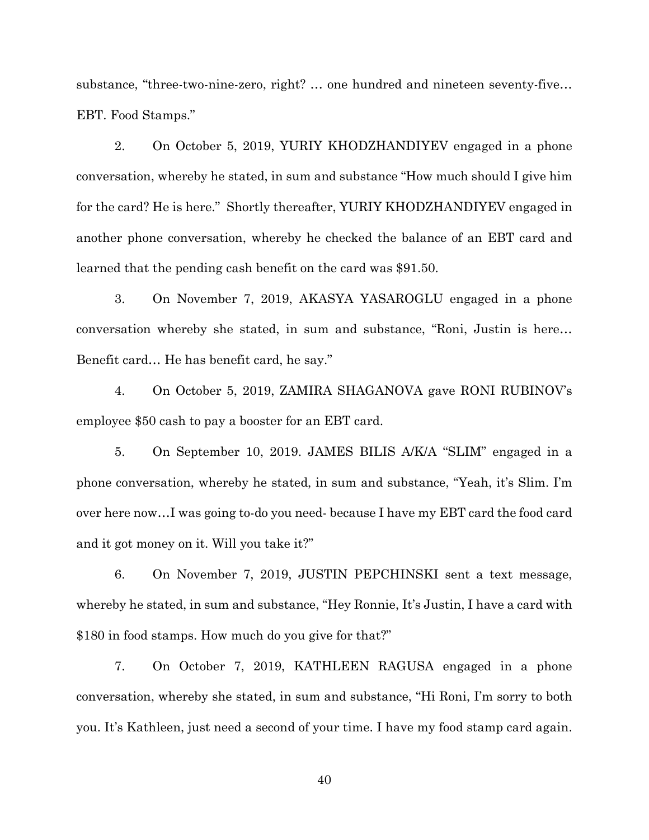substance, "three-two-nine-zero, right? … one hundred and nineteen seventy-five… EBT. Food Stamps."

2. On October 5, 2019, YURIY KHODZHANDIYEV engaged in a phone conversation, whereby he stated, in sum and substance "How much should I give him for the card? He is here." Shortly thereafter, YURIY KHODZHANDIYEV engaged in another phone conversation, whereby he checked the balance of an EBT card and learned that the pending cash benefit on the card was \$91.50.

3. On November 7, 2019, AKASYA YASAROGLU engaged in a phone conversation whereby she stated, in sum and substance, "Roni, Justin is here… Benefit card… He has benefit card, he say."

4. On October 5, 2019, ZAMIRA SHAGANOVA gave RONI RUBINOV's employee \$50 cash to pay a booster for an EBT card.

5. On September 10, 2019. JAMES BILIS A/K/A "SLIM" engaged in a phone conversation, whereby he stated, in sum and substance, "Yeah, it's Slim. I'm over here now…I was going to-do you need- because I have my EBT card the food card and it got money on it. Will you take it?"

6. On November 7, 2019, JUSTIN PEPCHINSKI sent a text message, whereby he stated, in sum and substance, "Hey Ronnie, It's Justin, I have a card with \$180 in food stamps. How much do you give for that?"

7. On October 7, 2019, KATHLEEN RAGUSA engaged in a phone conversation, whereby she stated, in sum and substance, "Hi Roni, I'm sorry to both you. It's Kathleen, just need a second of your time. I have my food stamp card again.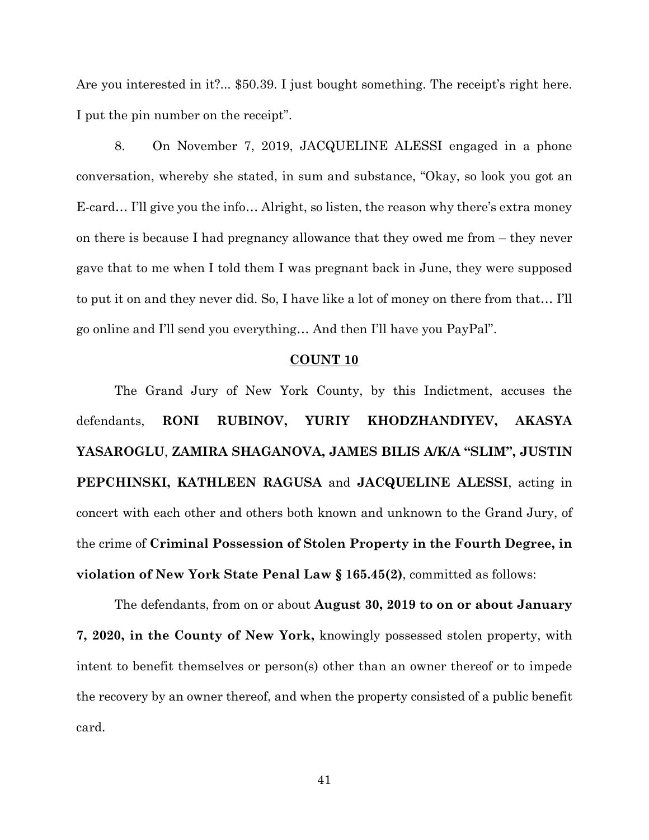Are you interested in it?... \$50.39. I just bought something. The receipt's right here. I put the pin number on the receipt".

8. On November 7, 2019, JACQUELINE ALESSI engaged in a phone conversation, whereby she stated, in sum and substance, "Okay, so look you got an E-card… I'll give you the info… Alright, so listen, the reason why there's extra money on there is because I had pregnancy allowance that they owed me from – they never gave that to me when I told them I was pregnant back in June, they were supposed to put it on and they never did. So, I have like a lot of money on there from that… I'll go online and I'll send you everything… And then I'll have you PayPal".

## **COUNT 10**

The Grand Jury of New York County, by this Indictment, accuses the defendants, **RONI RUBINOV, YURIY KHODZHANDIYEV, AKASYA YASAROGLU**, **ZAMIRA SHAGANOVA, JAMES BILIS A/K/A "SLIM", JUSTIN PEPCHINSKI, KATHLEEN RAGUSA** and **JACQUELINE ALESSI**, acting in concert with each other and others both known and unknown to the Grand Jury, of the crime of **Criminal Possession of Stolen Property in the Fourth Degree, in violation of New York State Penal Law § 165.45(2)**, committed as follows:

The defendants, from on or about **August 30, 2019 to on or about January 7, 2020, in the County of New York,** knowingly possessed stolen property, with intent to benefit themselves or person(s) other than an owner thereof or to impede the recovery by an owner thereof, and when the property consisted of a public benefit card.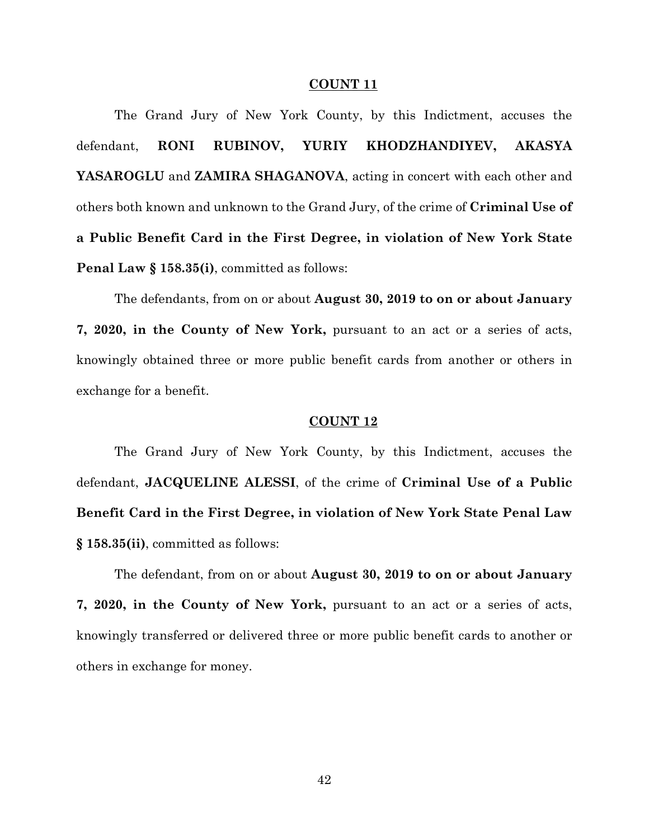#### **COUNT 11**

The Grand Jury of New York County, by this Indictment, accuses the defendant, **RONI RUBINOV, YURIY KHODZHANDIYEV, AKASYA YASAROGLU** and **ZAMIRA SHAGANOVA**, acting in concert with each other and others both known and unknown to the Grand Jury, of the crime of **Criminal Use of a Public Benefit Card in the First Degree, in violation of New York State Penal Law § 158.35(i)**, committed as follows:

The defendants, from on or about **August 30, 2019 to on or about January 7, 2020, in the County of New York,** pursuant to an act or a series of acts, knowingly obtained three or more public benefit cards from another or others in exchange for a benefit.

#### **COUNT 12**

The Grand Jury of New York County, by this Indictment, accuses the defendant, **JACQUELINE ALESSI**, of the crime of **Criminal Use of a Public Benefit Card in the First Degree, in violation of New York State Penal Law § 158.35(ii)**, committed as follows:

The defendant, from on or about **August 30, 2019 to on or about January 7, 2020, in the County of New York,** pursuant to an act or a series of acts, knowingly transferred or delivered three or more public benefit cards to another or others in exchange for money.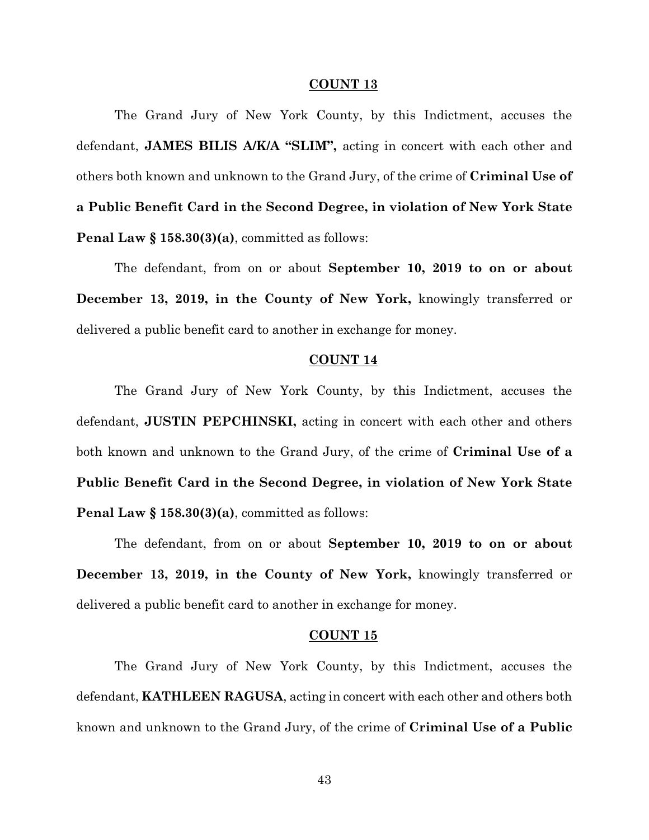#### **COUNT 13**

The Grand Jury of New York County, by this Indictment, accuses the defendant, **JAMES BILIS A/K/A "SLIM",** acting in concert with each other and others both known and unknown to the Grand Jury, of the crime of **Criminal Use of a Public Benefit Card in the Second Degree, in violation of New York State Penal Law § 158.30(3)(a)**, committed as follows:

The defendant, from on or about **September 10, 2019 to on or about December 13, 2019, in the County of New York,** knowingly transferred or delivered a public benefit card to another in exchange for money.

### **COUNT 14**

The Grand Jury of New York County, by this Indictment, accuses the defendant, **JUSTIN PEPCHINSKI,** acting in concert with each other and others both known and unknown to the Grand Jury, of the crime of **Criminal Use of a Public Benefit Card in the Second Degree, in violation of New York State Penal Law § 158.30(3)(a)**, committed as follows:

The defendant, from on or about **September 10, 2019 to on or about December 13, 2019, in the County of New York,** knowingly transferred or delivered a public benefit card to another in exchange for money.

## **COUNT 15**

The Grand Jury of New York County, by this Indictment, accuses the defendant, **KATHLEEN RAGUSA**, acting in concert with each other and others both known and unknown to the Grand Jury, of the crime of **Criminal Use of a Public**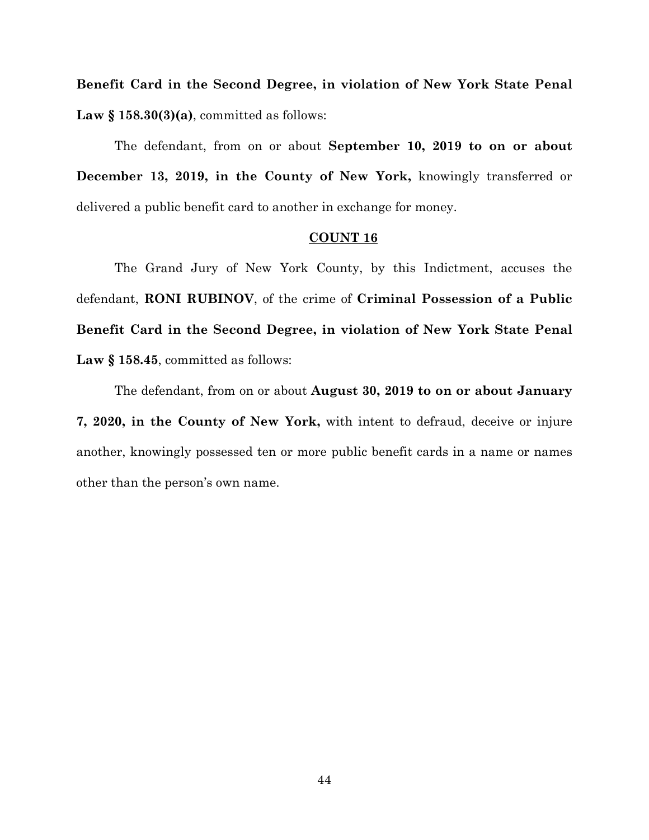**Benefit Card in the Second Degree, in violation of New York State Penal Law § 158.30(3)(a)**, committed as follows:

The defendant, from on or about **September 10, 2019 to on or about December 13, 2019, in the County of New York,** knowingly transferred or delivered a public benefit card to another in exchange for money.

### **COUNT 16**

The Grand Jury of New York County, by this Indictment, accuses the defendant, **RONI RUBINOV**, of the crime of **Criminal Possession of a Public Benefit Card in the Second Degree, in violation of New York State Penal**  Law § 158.45, committed as follows:

The defendant, from on or about **August 30, 2019 to on or about January 7, 2020, in the County of New York,** with intent to defraud, deceive or injure another, knowingly possessed ten or more public benefit cards in a name or names other than the person's own name.